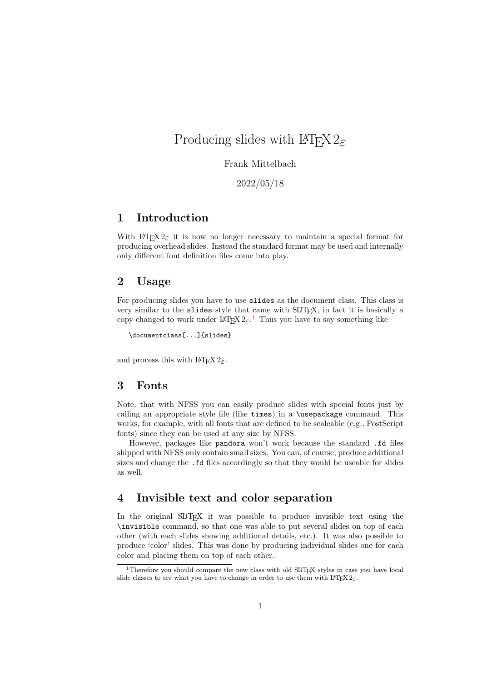# Producing slides with  $\mathrm{LATF} \times 2\varepsilon$

## Frank Mittelbach

2022/05/18

# 1 Introduction

With LATEX  $2\varepsilon$  it is now no longer necessary to maintain a special format for producing overhead slides. Instead the standard format may be used and internally only different font definition files come into play.

# 2 Usage

For producing slides you have to use slides as the document class. This class is very similar to the slides style that came with SLITEX, in fact it is basically a copy changed to work under  $\mathbb{P}\mathbb{E} \times 2\varepsilon$ .<sup>[1](#page-0-0)</sup> Thus you have to say something like

```
\documentclass[...]{slides}
```
and process this with  $\text{LATEX } 2\varepsilon$ .

# 3 Fonts

Note, that with NFSS you can easily produce slides with special fonts just by calling an appropriate style file (like times) in a \usepackage command. This works, for example, with all fonts that are defined to be scaleable (e.g., PostScript fonts) since they can be used at any size by NFSS.

However, packages like pandora won't work because the standard .fd files shipped with NFSS only contain small sizes. You can, of course, produce additional sizes and change the .fd files accordingly so that they would be useable for slides as well.

# 4 Invisible text and color separation

In the original SLITEX it was possible to produce invisible text using the \invisible command, so that one was able to put several slides on top of each other (with each slides showing additional details, etc.). It was also possible to produce 'color' slides. This was done by producing individual slides one for each color and placing them on top of each other.

<span id="page-0-0"></span><sup>&</sup>lt;sup>1</sup>Therefore you should compare the new class with old SLITEX styles in case you have local slide classes to see what you have to change in order to use them with  $\text{LATEX } 2\varepsilon$ .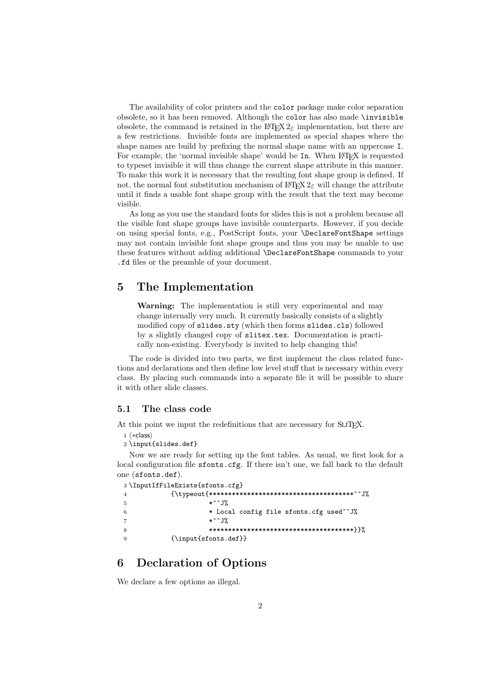The availability of color printers and the color package make color separation obsolete, so it has been removed. Although the color has also made \invisible obsolete, the command is retained in the  $\mathbb{F} \mathbb{F} \times \mathbb{Z}$  implementation, but there are a few restrictions. Invisible fonts are implemented as special shapes where the shape names are build by prefixing the normal shape name with an uppercase I. For example, the 'normal invisible shape' would be In. When LATEX is requested to typeset invisible it will thus change the current shape attribute in this manner. To make this work it is necessary that the resulting font shape group is defined. If not, the normal font substitution mechanism of LAT<sub>E</sub>X  $2_{\epsilon}$  will change the attribute until it finds a usable font shape group with the result that the text may become visible.

As long as you use the standard fonts for slides this is not a problem because all the visible font shape groups have invisible counterparts. However, if you decide on using special fonts, e.g., PostScript fonts, your \DeclareFontShape settings may not contain invisible font shape groups and thus you may be unable to use these features without adding additional \DeclareFontShape commands to your .fd files or the preamble of your document.

# 5 The Implementation

Warning: The implementation is still very experimental and may change internally very much. It currently basically consists of a slightly modified copy of slides.sty (which then forms slides.cls) followed by a slightly changed copy of slitex.tex. Documentation is practically non-existing. Everybody is invited to help changing this!

The code is divided into two parts, we first implement the class related functions and declarations and then define low level stuff that is necessary within every class. By placing such commands into a separate file it will be possible to share it with other slide classes.

### 5.1 The class code

At this point we input the redefinitions that are necessary for SLIT<sub>E</sub>X.

- 1 ⟨∗class⟩
- 2 \input{slides.def}

Now we are ready for setting up the font tables. As usual, we first look for a local configuration file sfonts.cfg. If there isn't one, we fall back to the default one (sfonts.def).

| 3 \InputIfFileExists{sfonts.cfg}        |
|-----------------------------------------|
|                                         |
| $*$ $\sim$ $J\%$                        |
| * Local config file sfonts.cfg used^^J% |
| $*$ $\sim$ $J\%$                        |
|                                         |
| ${\infty}$                              |

# 6 Declaration of Options

We declare a few options as illegal.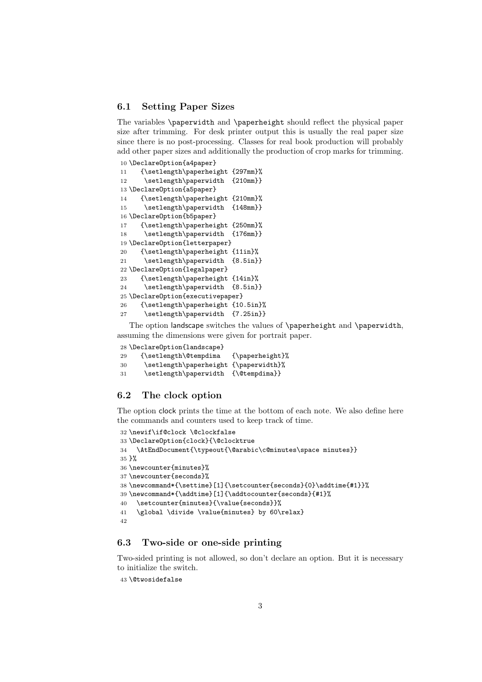### 6.1 Setting Paper Sizes

The variables \paperwidth and \paperheight should reflect the physical paper size after trimming. For desk printer output this is usually the real paper size since there is no post-processing. Classes for real book production will probably add other paper sizes and additionally the production of crop marks for trimming.

```
10 \DeclareOption{a4paper}
11 {\setlength\paperheight {297mm}%
12 \setlength\paperwidth {210mm}}
13 \DeclareOption{a5paper}
14 {\setlength\paperheight {210mm}%
15 \setlength\paperwidth {148mm}}
16 \DeclareOption{b5paper}
17 {\setlength\paperheight {250mm}%
18 \setlength\paperwidth {176mm}}
19 \DeclareOption{letterpaper}
20 {\setlength\paperheight {11in}%
21 \setlength\paperwidth {8.5in}}
22 \DeclareOption{legalpaper}
23 {\setlength\paperheight {14in}%
24 \setlength\paperwidth {8.5in}}
25 \DeclareOption{executivepaper}
26 {\setlength\paperheight {10.5in}%
27 \setlength\paperwidth {7.25in}}
```
The option landscape switches the values of \paperheight and \paperwidth, assuming the dimensions were given for portrait paper.

```
28 \DeclareOption{landscape}
29 {\setlength\@tempdima {\paperheight}%
30 \setlength\paperheight {\paperwidth}%
31 \setlength\paperwidth {\@tempdima}}
```
# 6.2 The clock option

The option clock prints the time at the bottom of each note. We also define here the commands and counters used to keep track of time.

```
32 \newif\if@clock \@clockfalse
33 \DeclareOption{clock}{\@clocktrue
34 \AtEndDocument{\typeout{\@arabic\c@minutes\space minutes}}
35 }%
36 \newcounter{minutes}%
37 \newcounter{seconds}%
38 \newcommand*{\settime}[1]{\setcounter{seconds}{0}\addtime{#1}}%
39 \newcommand*{\addtime}[1]{\addtocounter{seconds}{#1}%
40 \setcounter{minutes}{\value{seconds}}%
41 \global \divide \value{minutes} by 60\relax}
42
```
# 6.3 Two-side or one-side printing

Two-sided printing is not allowed, so don't declare an option. But it is necessary to initialize the switch.

\@twosidefalse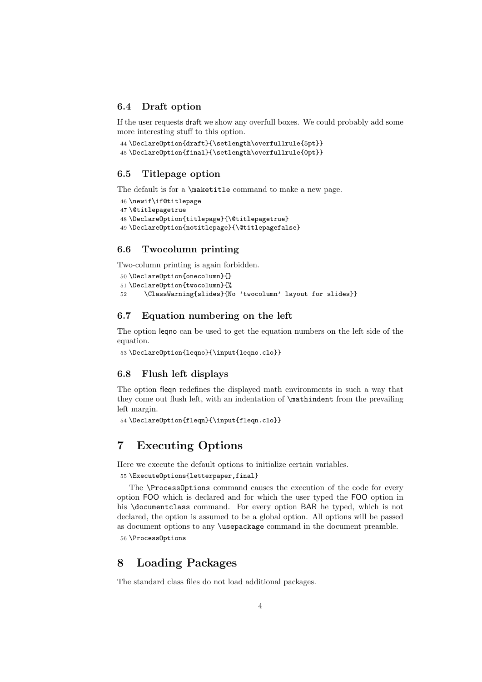#### 6.4 Draft option

If the user requests draft we show any overfull boxes. We could probably add some more interesting stuff to this option.

```
44 \DeclareOption{draft}{\setlength\overfullrule{5pt}}
45 \DeclareOption{final}{\setlength\overfullrule{0pt}}
```
### 6.5 Titlepage option

The default is for a \maketitle command to make a new page.

```
46 \newif\if@titlepage
47 \@titlepagetrue
48 \DeclareOption{titlepage}{\@titlepagetrue}
49 \DeclareOption{notitlepage}{\@titlepagefalse}
```
### 6.6 Twocolumn printing

Two-column printing is again forbidden.

```
50 \DeclareOption{onecolumn}{}
51 \DeclareOption{twocolumn}{%
52 \ClassWarning{slides}{No 'twocolumn' layout for slides}}
```
### 6.7 Equation numbering on the left

The option leqno can be used to get the equation numbers on the left side of the equation.

```
53 \DeclareOption{leqno}{\input{leqno.clo}}
```
### 6.8 Flush left displays

The option fleqn redefines the displayed math environments in such a way that they come out flush left, with an indentation of \mathindent from the prevailing left margin.

```
54 \DeclareOption{fleqn}{\input{fleqn.clo}}
```
# 7 Executing Options

Here we execute the default options to initialize certain variables.

55 \ExecuteOptions{letterpaper,final}

The \ProcessOptions command causes the execution of the code for every option FOO which is declared and for which the user typed the FOO option in his \documentclass command. For every option BAR he typed, which is not declared, the option is assumed to be a global option. All options will be passed as document options to any \usepackage command in the document preamble. 56 \ProcessOptions

## 8 Loading Packages

The standard class files do not load additional packages.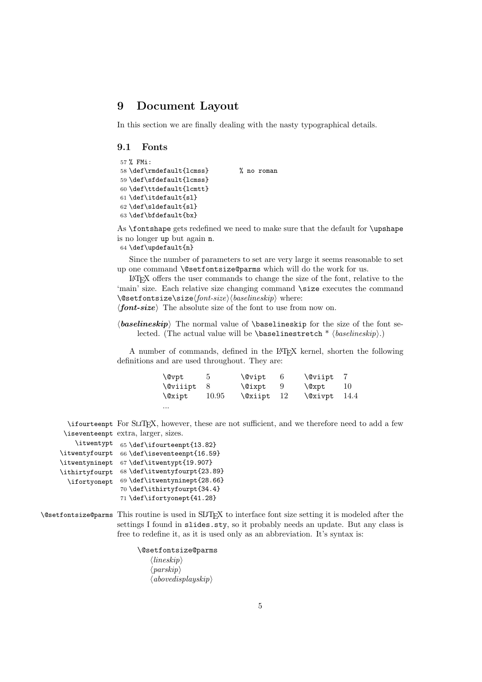# 9 Document Layout

In this section we are finally dealing with the nasty typographical details.

#### 9.1 Fonts

```
57 % FMi:
58 \def\rmdefault{lcmss} % no roman
59 \def\sfdefault{lcmss}
60 \def\ttdefault{lcmtt}
61 \def\itdefault{sl}
62 \def\sldefault{sl}
63 \def\bfdefault{bx}
```
As \fontshape gets redefined we need to make sure that the default for \upshape is no longer up but again n.

64 \def\updefault{n}

Since the number of parameters to set are very large it seems reasonable to set up one command \@setfontsize@parms which will do the work for us.

LATEX offers the user commands to change the size of the font, relative to the 'main' size. Each relative size changing command \size executes the command \@setfontsize\size⟨font-size⟩⟨baselineskip⟩ where:

⟨font-size⟩ The absolute size of the font to use from now on.

 $\langle$ baselineskip The normal value of  $\backslash$ baselineskip for the size of the font selected. (The actual value will be \baselinestretch  $*$   $\langle$  *baselineskip* $\rangle$ .)

A number of commands, defined in the LATEX kernel, shorten the following definitions and are used throughout. They are:

| \@vpt           |       | <b>\@vipt</b> |      | \@viipt |       |
|-----------------|-------|---------------|------|---------|-------|
| <b>\@viiipt</b> |       | <b>\@ixpt</b> |      | \@xpt   | 10    |
| \@xipt          | 10.95 | \@xiipt       | - 12 | \@xivpt | -14.4 |
| $\cdots$        |       |               |      |         |       |

\ifourteenpt For SLITEX, however, these are not sufficient, and we therefore need to add a few \iseventeenpt extra, larger, sizes.

| \itwentypt     | 65 \def\ifourteenpt{13.82}   |
|----------------|------------------------------|
| \itwentyfourpt | 66 \def\iseventeenpt{16.59}  |
| \itwentyninept | 67 \def\itwentypt{19.907}    |
| \ithirtyfourpt | 68 \def\itwentyfourpt{23.89} |
| \ifortyonept   | 69 \def\itwentyninept{28.66} |
|                | 70 \def\ithirtyfourpt{34.4}  |
|                | 71 \def\ifortyonept{41.28}   |

\@setfontsize@parms This routine is used in SLiTEX to interface font size setting it is modeled after the settings I found in slides. sty, so it probably needs an update. But any class is free to redefine it, as it is used only as an abbreviation. It's syntax is:

> \@setfontsize@parms ⟨lineskip⟩  $\langle \text{parskip} \rangle$  $\langle above display$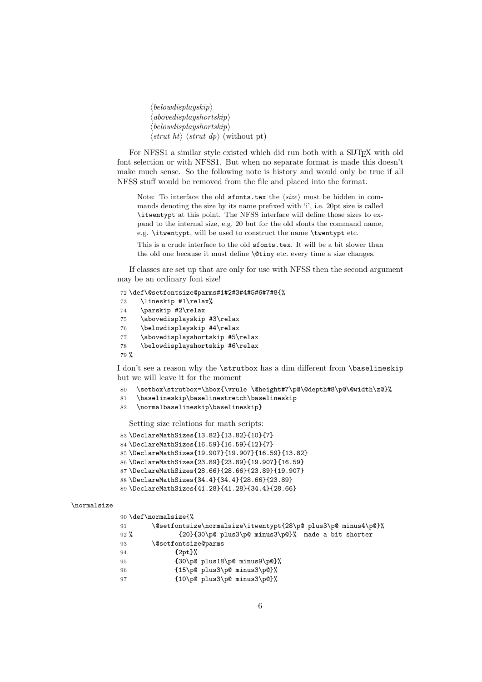⟨belowdisplayskip⟩  $\langle above display$  $\langle$ belowdisplayshortskip $\rangle$  $\langle$ *strut ht* $\rangle$   $\langle$ *strut dp* $\rangle$  (without pt)

For NFSS1 a similar style existed which did run both with a SLITEX with old font selection or with NFSS1. But when no separate format is made this doesn't make much sense. So the following note is history and would only be true if all NFSS stuff would be removed from the file and placed into the format.

Note: To interface the old sfonts.tex the  $\langle size \rangle$  must be hidden in commands denoting the size by its name prefixed with 'i', i.e. 20pt size is called \itwentypt at this point. The NFSS interface will define those sizes to expand to the internal size, e.g. 20 but for the old sfonts the command name, e.g. \itwentypt, will be used to construct the name \twentypt etc.

This is a crude interface to the old sfonts.tex. It will be a bit slower than the old one because it must define \@tiny etc. every time a size changes.

If classes are set up that are only for use with NFSS then the second argument may be an ordinary font size!

```
72 \def\@setfontsize@parms#1#2#3#4#5#6#7#8{%
73 \lineskip #1\relax%
74 \parskip #2\relax
75 \abovedisplayskip #3\relax
76 \belowdisplayskip #4\relax
77 \abovedisplayshortskip #5\relax
78 \belowdisplayshortskip #6\relax
79 %
```
I don't see a reason why the \strutbox has a dim different from \baselineskip but we will leave it for the moment

- 80 \setbox\strutbox=\hbox{\vrule \@height#7\p@\@depth#8\p@\@width\z@}%
- 81 \baselineskip\baselinestretch\baselineskip
- 82 \normalbaselineskip\baselineskip}

Setting size relations for math scripts:

```
83 \DeclareMathSizes{13.82}{13.82}{10}{7}
84 \DeclareMathSizes{16.59}{16.59}{12}{7}
```

```
85 \DeclareMathSizes{19.907}{19.907}{16.59}{13.82}
```
86 \DeclareMathSizes{23.89}{23.89}{19.907}{16.59}

```
87 \DeclareMathSizes{28.66}{28.66}{23.89}{19.907}
```

```
88 \DeclareMathSizes{34.4}{34.4}{28.66}{23.89}
```

```
89 \DeclareMathSizes{41.28}{41.28}{34.4}{28.66}
```
#### \normalsize

| 90 \def\normalsize{%                                          |
|---------------------------------------------------------------|
| \@setfontsize\normalsize\itwentypt{28\p@ plus3\p@ minus4\p@}% |
| {20}{30\p@ plus3\p@ minus3\p@}% made a bit shorter            |
| <i><b>\@setfontsize@parms</b></i>                             |
| $\{2pt\}$ %                                                   |
| $\{30\p0 \text{ plus } 18\p0 \text{ minus } 9\p0\}$           |
| $\{15\p0 \text{ plus3\p0 minus3\p0}\}\$                       |
| ${10\p0 \; plus 3\p0 \; minus 3\p0}$ %                        |
|                                                               |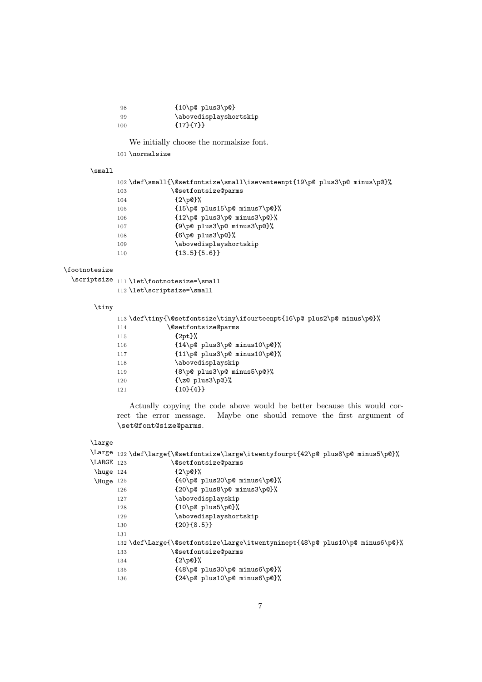| 98  | $\{10\p0 \text{ plus}3\p0\}$ |
|-----|------------------------------|
| 99  | \abovedisplayshortskip       |
| 100 | ${17}$ {7}}                  |

We initially choose the normalsize font.

101 $\verb|\normalsize|$ 

#### \small

|     | 102 \def\small{\@setfontsize\small\iseventeenpt{19\p@ plus3\p@ minus\p@}% |
|-----|---------------------------------------------------------------------------|
| 103 | <i><b>\@setfontsize@parms</b></i>                                         |
| 104 | $\{2\text{p@}\}\%$                                                        |
| 105 | $\{15\p0 \text{ plus } 15\p0 \text{ minus } 7\p0\}$                       |
| 106 | ${12\p0 \; plus 3\p0 \; minus 3\p0}$ %                                    |
| 107 | ${9\p0 \; plus3\p0 \; minus3\p0}$                                         |
| 108 | ${6\p0 \text{ plus3\p0}}$                                                 |
| 109 | \abovedisplayshortskip                                                    |
| 110 | ${13.5}$ {13.5} {5.6} }                                                   |
|     |                                                                           |

### \footnotesize

| $\verb \scriptsize{111 \let\footnotesize  for the same number of 111 \let\footnotesize  for the same number of 111 \let\footnotesize  for the same number of 111 \let\footnotesize  for the same number of 111 \let\footnotesize  for the same number of 111 \let\footnotesize  for the same number of 111 \let\footnotesize  for the same number of 111 \let\footnotesize  for the same number of 111 \let\footnotesize  for the same number of 111 \let\footnotesize  for the same number of 111 \let\footnotesize  for the same number of 111 \let\footnotesize  for the same number of 111 \let\footnotesize  for the same number of 111 \let\$ |
|-----------------------------------------------------------------------------------------------------------------------------------------------------------------------------------------------------------------------------------------------------------------------------------------------------------------------------------------------------------------------------------------------------------------------------------------------------------------------------------------------------------------------------------------------------------------------------------------------------------------------------------------------------|
| $112 \let \scriptsize \setminus \small \mathsf{snall}$                                                                                                                                                                                                                                                                                                                                                                                                                                                                                                                                                                                              |

#### \tiny

|     | 113\def\tiny{\@setfontsize\tiny\ifourteenpt{16\p@ plus2\p@ minus\p@}% |
|-----|-----------------------------------------------------------------------|
| 114 | <i><b>@setfontsize@parms</b></i>                                      |
| 115 | $\{2pt\}$ %                                                           |
| 116 | $\{14\p0 \text{ plus3\p0 minus10\p0}\}\$                              |
| 117 | $\{11\p0 \text{ plus3\p0 minus10\p0}\}\$                              |
| 118 | \abovedisplayskip                                                     |
| 119 | ${8\p0 \; plus3\p0 \; minus5\p0}$                                     |
| 120 | $\{\zeta \$ plus3\p@}%                                                |
| 121 | ${10}{4}$ }                                                           |

Actually copying the code above would be better because this would correct the error message. Maybe one should remove the first argument of \set@font@size@parms.

### \large

|                    |     | \Large 122 \def\large{\@setfontsize\large\itwentyfourpt{42\p@ plus8\p@ minus5\p@}% |
|--------------------|-----|------------------------------------------------------------------------------------|
| $\text{LARGE}$ 123 |     | <i><b>@setfontsize@parms</b></i>                                                   |
| huge 124           |     | ${2\pmod{?}}$                                                                      |
| Huge 125           |     | ${40\p0 \; plus 20\p0 \; minus 4\p0}.$                                             |
|                    | 126 | ${20\p0 \; plus8\p0 \; minus3\p0}.$                                                |
|                    | 127 | \abovedisplayskip                                                                  |
|                    | 128 | $\{10\p0 \text{ plus}5\p0\}\$                                                      |
|                    | 129 | \abovedisplayshortskip                                                             |
|                    | 130 | ${20}$ ${8.5}$ }                                                                   |
|                    | 131 |                                                                                    |
|                    |     | 132 \def\Large{\@setfontsize\Large\itwentyninept{48\p@ plus10\p@ minus6\p@}%       |
|                    | 133 | <i><b>\@setfontsize@parms</b></i>                                                  |
|                    | 134 | $\{2\pmod{?}\}$                                                                    |
|                    | 135 | ${48\p0 \; plus 30\p0 \; minus 6\p0}.$                                             |
|                    | 136 | ${24\p0 \; plus 10\p0 \; minus 6\p0}.$                                             |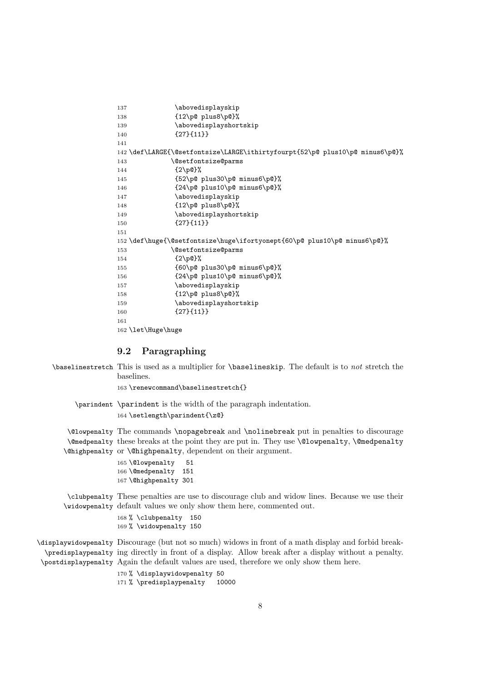```
137 \abovedisplayskip
138 {12\p@ plus8\p@}%
139 \abovedisplayshortskip
140 {27}{11}}
141
142 \def\LARGE{\@setfontsize\LARGE\ithirtyfourpt{52\p@ plus10\p@ minus6\p@}%
143 \@setfontsize@parms
144 {2\p0}%
145 {52\p@ plus30\p@ minus6\p@}%
146 {24\p@ plus10\p@ minus6\p@}%
147 \abovedisplayskip
148 {12\p@ plus8\p@}%
149 \abovedisplayshortskip
150 {27}{11}}
151
152 \def\huge{\@setfontsize\huge\ifortyonept{60\p@ plus10\p@ minus6\p@}%
153 \@setfontsize@parms
154 {2\p@}%
155 {60\p@ plus30\p@ minus6\p@}%
156 {24\p@ plus10\p@ minus6\p@}%
157 \abovedisplayskip
158 {12\p@ plus8\p@}%
159 \abovedisplayshortskip
160 {27}{11}}
161
162 \let\Huge\huge
```
# 9.2 Paragraphing

| \baselinestretch This is used as a multiplier for \baselineskip. The default is to <i>not</i> stretch the<br>baselines. |
|-------------------------------------------------------------------------------------------------------------------------|
| 163 \renewcommand\baselinestretch{}                                                                                     |
| \parindent \parindent is the width of the paragraph indentation.                                                        |
| 164 \setlength\parindent{\z@}                                                                                           |
| \@lowpenalty The commands \nopagebreak and \nolinebreak put in penalties to discourage                                  |
| \@medpenalty these breaks at the point they are put in. They use \@lowpenalty, \@medpenalty                             |
| \Chighpenalty or \Chighpenalty, dependent on their argument.                                                            |
| 165 \@lowpenalty<br>51                                                                                                  |
| 166 \@medpenalty 151                                                                                                    |
| 167 \@highpenalty 301                                                                                                   |
| \clubpenalty These penalties are use to discourage club and widow lines. Because we use their                           |
| \widowpenalty default values we only show them here, commented out.                                                     |
| 168 % \clubpenalty 150                                                                                                  |
| 169 % \widowpenalty 150                                                                                                 |
| \displaywidowpenalty Discourage (but not so much) widows in front of a math display and forbid break-                   |
| \predisplaypenalty ing directly in front of a display. Allow break after a display without a penalty.                   |
| \postdisplaypenalty Again the default values are used, therefore we only show them here.                                |
| 170 % \displaywidowpenalty 50                                                                                           |
| 171 % \predisplaypenalty<br>10000                                                                                       |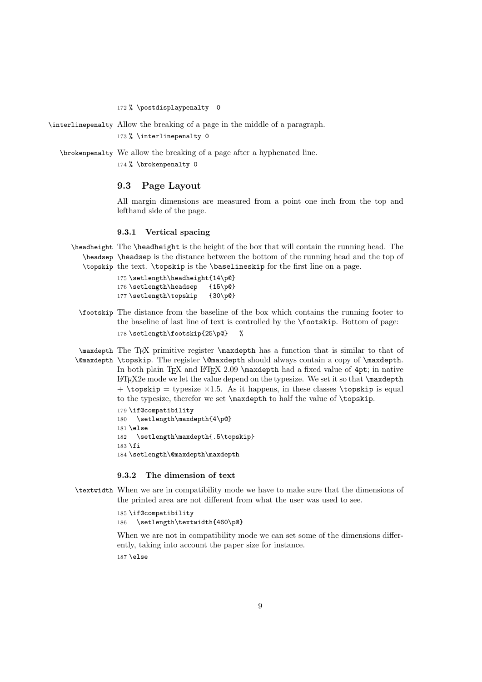172 % \postdisplaypenalty 0

\interlinepenalty Allow the breaking of a page in the middle of a paragraph. 173 % \interlinepenalty 0

\brokenpenalty We allow the breaking of a page after a hyphenated line. 174 % \brokenpenalty 0

### 9.3 Page Layout

All margin dimensions are measured from a point one inch from the top and lefthand side of the page.

#### 9.3.1 Vertical spacing

\headheight The \headheight is the height of the box that will contain the running head. The \headsep \headsep is the distance between the bottom of the running head and the top of \topskip the text. \topskip is the \baselineskip for the first line on a page.

> 175 \setlength\headheight{14\p@} 176 \setlength\headsep {15\p@} 177 \setlength\topskip {30\p@}

\footskip The distance from the baseline of the box which contains the running footer to the baseline of last line of text is controlled by the \footskip. Bottom of page: 178 \setlength\footskip{25\p@} %

\maxdepth The TEX primitive register \maxdepth has a function that is similar to that of \@maxdepth \topskip. The register \@maxdepth should always contain a copy of \maxdepth. In both plain T<sub>EX</sub> and L<sup>A</sup>T<sub>EX</sub> 2.09 \maxdepth had a fixed value of 4pt; in native  $EFT<sub>F</sub>X<sub>2e</sub>$  mode we let the value depend on the typesize. We set it so that  $\max$ + \topskip = typesize ×1.5. As it happens, in these classes \topskip is equal to the typesize, therefor we set \maxdepth to half the value of \topskip. 179 \if@compatibility 180 \setlength\maxdepth{4\p@} 181 \else 182 \setlength\maxdepth{.5\topskip} 183 \fi 184 \setlength\@maxdepth\maxdepth

### 9.3.2 The dimension of text

\textwidth When we are in compatibility mode we have to make sure that the dimensions of the printed area are not different from what the user was used to see.

> 185 \if@compatibility 186 \setlength\textwidth{460\p@}

When we are not in compatibility mode we can set some of the dimensions differently, taking into account the paper size for instance. 187 \else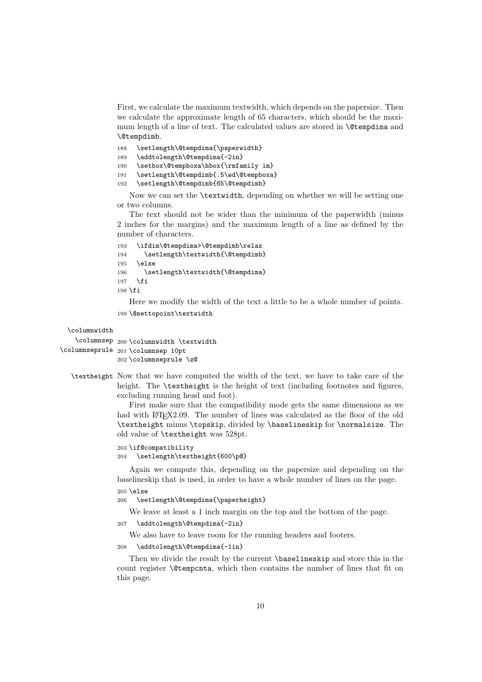First, we calculate the maximum textwidth, which depends on the papersize. Then we calculate the approximate length of 65 characters, which should be the maximum length of a line of text. The calculated values are stored in \@tempdima and \@tempdimb.

```
188 \setlength\@tempdima{\paperwidth}
189 \addtolength\@tempdima{-2in}
190 \setbox\@tempboxa\hbox{\rmfamily im}
191 \setlength\@tempdimb{.5\wd\@tempboxa}
192 \setlength\@tempdimb{65\@tempdimb}
```
Now we can set the \textwidth, depending on whether we will be setting one or two columns.

The text should not be wider than the minimum of the paperwidth (minus 2 inches for the margins) and the maximum length of a line as defined by the number of characters.

```
193 \ifdim\@tempdima>\@tempdimb\relax
194 \setlength\textwidth{\@tempdimb}
195 \else
196 \setlength\textwidth{\@tempdima}
197 \fi
198 \fi
```
Here we modify the width of the text a little to be a whole number of points.

```
199 \@settopoint\textwidth
```
\columnwidth

```
\columnsep 200 \columnwidth \textwidth
\columnseprule
201 \columnsep 10pt
               202 \columnseprule \z@
```
\textheight Now that we have computed the width of the text, we have to take care of the height. The **\textheight** is the height of text (including footnotes and figures, excluding running head and foot).

First make sure that the compatibility mode gets the same dimensions as we had with LAT<sub>EX2</sub>.09. The number of lines was calculated as the floor of the old \textheight minus \topskip, divided by \baselineskip for \normalsize. The old value of \textheight was 528pt.

```
203 \if@compatibility
```
204 \setlength\textheight{600\p@}

Again we compute this, depending on the papersize and depending on the baselineskip that is used, in order to have a whole number of lines on the page. 205 \else

206 \setlength\@tempdima{\paperheight}

We leave at least a 1 inch margin on the top and the bottom of the page.

207 \addtolength\@tempdima{-2in}

We also have to leave room for the running headers and footers.

208 \addtolength\@tempdima{-1in}

Then we divide the result by the current \baselineskip and store this in the count register \@tempcnta, which then contains the number of lines that fit on this page.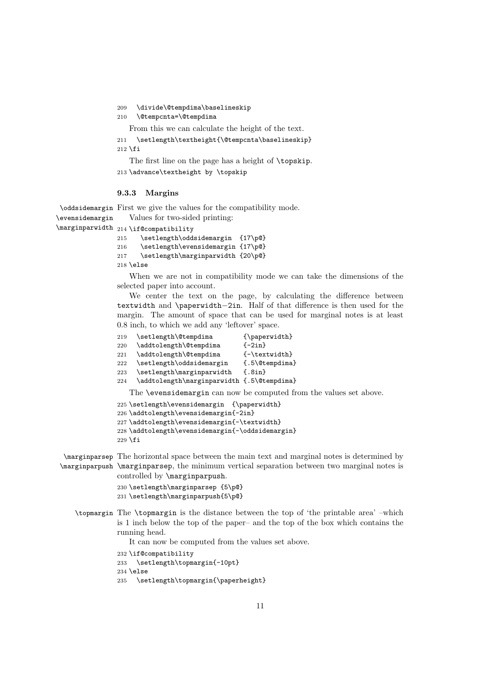209 \divide\@tempdima\baselineskip

```
210 \@tempcnta=\@tempdima
```
From this we can calculate the height of the text.

- 211 \setlength\textheight{\@tempcnta\baselineskip}  $212$  \fi
- The first line on the page has a height of \topskip. 213 \advance\textheight by \topskip

#### 9.3.3 Margins

\oddsidemargin First we give the values for the compatibility mode. \evensidemargin Values for two-sided printing:

\marginparwidth 214 \if@compatibility

215 \setlength\oddsidemargin {17\p@} 216 \setlength\evensidemargin {17\p@} 217 \setlength\marginparwidth {20\p@} 218 \else

When we are not in compatibility mode we can take the dimensions of the selected paper into account.

We center the text on the page, by calculating the difference between textwidth and \paperwidth−2in. Half of that difference is then used for the margin. The amount of space that can be used for marginal notes is at least 0.8 inch, to which we add any 'leftover' space.

| 219 | \setlength\@tempdima                        | $\{\n  paperwidth\}$                                                      |
|-----|---------------------------------------------|---------------------------------------------------------------------------|
| 220 | \addtolength\@tempdima                      | $\{-2in\}$                                                                |
| 221 | \addtolength\@tempdima                      | $\{\neg \text{textwidth}\}$                                               |
| 222 | \setlength\oddsidemargin                    | $\{.5\&0$ tempdima}                                                       |
| 223 | \setlength\marginparwidth                   | $\{.8in\}$                                                                |
| 224 | \addtolength\marginparwidth {.5\@tempdima}  |                                                                           |
|     |                                             | The <b>\evensidemargin</b> can now be computed from the values set above. |
|     | 225 \setlength\evensidemargin {\paperwidth} |                                                                           |
|     | 226 \addtolength\evensidemargin{-2in}       |                                                                           |

```
227 \addtolength\evensidemargin{-\textwidth}
228 \addtolength\evensidemargin{-\oddsidemargin}
229 \fi
```
\marginparsep The horizontal space between the main text and marginal notes is determined by \marginparpush \marginparsep, the minimum vertical separation between two marginal notes is controlled by \marginparpush.

> 230 \setlength\marginparsep {5\p@} 231 \setlength\marginparpush{5\p@}

\topmargin The \topmargin is the distance between the top of 'the printable area' –which is 1 inch below the top of the paper– and the top of the box which contains the running head.

It can now be computed from the values set above.

```
232 \if@compatibility
```
233 \setlength\topmargin{-10pt}

```
234 \else
```
235 \setlength\topmargin{\paperheight}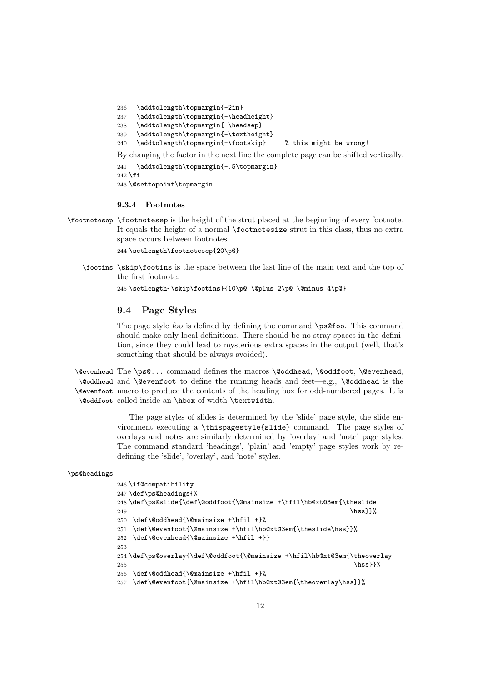```
236 \addtolength\topmargin{-2in}
237 \addtolength\topmargin{-\headheight}
238 \addtolength\topmargin{-\headsep}
239 \addtolength\topmargin{-\textheight}
240 \addtolength\topmargin{-\footskip} % this might be wrong!
By changing the factor in the next line the complete page can be shifted vertically.
241 \addtolength\topmargin{-.5\topmargin}
242 \fi
243 \@settopoint\topmargin
```
#### 9.3.4 Footnotes

\footnotesep \footnotesep is the height of the strut placed at the beginning of every footnote. It equals the height of a normal \footnotesize strut in this class, thus no extra space occurs between footnotes.

244 \setlength\footnotesep{20\p@}

\footins \skip\footins is the space between the last line of the main text and the top of the first footnote.

245 \setlength{\skip\footins}{10\p@ \@plus 2\p@ \@minus 4\p@}

#### 9.4 Page Styles

The page style foo is defined by defining the command \ps@foo. This command should make only local definitions. There should be no stray spaces in the definition, since they could lead to mysterious extra spaces in the output (well, that's something that should be always avoided).

\@evenhead The \ps@... command defines the macros \@oddhead, \@oddfoot, \@evenhead, \@oddhead and \@evenfoot to define the running heads and feet—e.g., \@oddhead is the \@evenfoot macro to produce the contents of the heading box for odd-numbered pages. It is \@oddfoot called inside an \hbox of width \textwidth.

> The page styles of slides is determined by the 'slide' page style, the slide environment executing a \thispagestyle{slide} command. The page styles of overlays and notes are similarly determined by 'overlay' and 'note' page styles. The command standard 'headings', 'plain' and 'empty' page styles work by redefining the 'slide', 'overlay', and 'note' styles.

### \ps@headings

```
246 \if@compatibility
247 \def\ps@headings{%
248 \def\ps@slide{\def\@oddfoot{\@mainsize +\hfil\hb@xt@3em{\theslide
249 \hbox{hss}}250 \def\@oddhead{\@mainsize +\hfil +}%
251 \def\@evenfoot{\@mainsize +\hfil\hb@xt@3em{\theslide\hss}}%
252 \def\@evenhead{\@mainsize +\hfil +}}
253
254 \def\ps@overlay{\def\@oddfoot{\@mainsize +\hfil\hb@xt@3em{\theoverlay
255 \hbox{\textsf{hss}}}%
256 \def\@oddhead{\@mainsize +\hfil +}%
257 \def\@evenfoot{\@mainsize +\hfil\hb@xt@3em{\theoverlay\hss}}%
```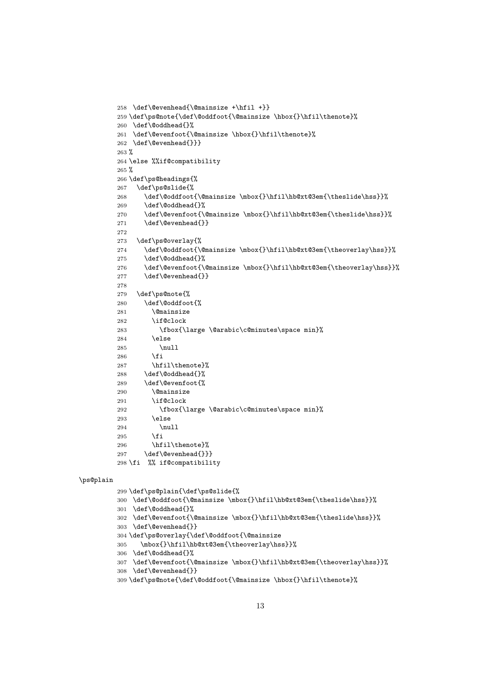```
258 \def\@evenhead{\@mainsize +\hfil +}}
         259 \def\ps@note{\def\@oddfoot{\@mainsize \hbox{}\hfil\thenote}%
         260 \def\@oddhead{}%
         261 \def\@evenfoot{\@mainsize \hbox{}\hfil\thenote}%
         262 \def\@evenhead{}}}
         263 %
         264 \else %%if@compatibility
         265 %
         266 \def\ps@headings{%
         267 \def\ps@slide{%
         268 \def\@oddfoot{\@mainsize \mbox{}\hfil\hb@xt@3em{\theslide\hss}}%
         269 \def\@oddhead{}%
         270 \def\@evenfoot{\@mainsize \mbox{}\hfil\hb@xt@3em{\theslide\hss}}%
         271 \def\@evenhead{}}
         272
         273 \def\ps@overlay{%
         274 \def\@oddfoot{\@mainsize \mbox{}\hfil\hb@xt@3em{\theoverlay\hss}}%
         275 \def\@oddhead{}%
         276 \def\@evenfoot{\@mainsize \mbox{}\hfil\hb@xt@3em{\theoverlay\hss}}%
         277 \def\@evenhead{}}
         278
         279 \def\ps@note{%
         280 \def\@oddfoot{%
         281 \@mainsize
         282 \if@clock
         283 \fbox{\large \@arabic\c@minutes\space min}%
         284 \else
         285 \null
         286 \fi
         287 \hfil\thenote}%
         288 \def\@oddhead{}%
         289 \def\@evenfoot{%
         290 \@mainsize
         291 \if@clock
         292 \fbox{\large \@arabic\c@minutes\space min}%
         293 \else
         294 \null
         295 \forallfi
         296 \hfil\thenote}%
         297 \def\@evenhead{}}}
         298 \fi %% if@compatibility
\ps@plain
```

```
299 \def\ps@plain{\def\ps@slide{%
300 \def\@oddfoot{\@mainsize \mbox{}\hfil\hb@xt@3em{\theslide\hss}}%
301 \def\@oddhead{}%
302 \def\@evenfoot{\@mainsize \mbox{}\hfil\hb@xt@3em{\theslide\hss}}%
303 \def\@evenhead{}}
304 \def\ps@overlay{\def\@oddfoot{\@mainsize
305 \mbox{}\hfil\hb@xt@3em{\theoverlay\hss}}%
306 \def\@oddhead{}%
307 \def\@evenfoot{\@mainsize \mbox{}\hfil\hb@xt@3em{\theoverlay\hss}}%
308 \def\@evenhead{}}
309 \def\ps@note{\def\@oddfoot{\@mainsize \hbox{}\hfil\thenote}%
```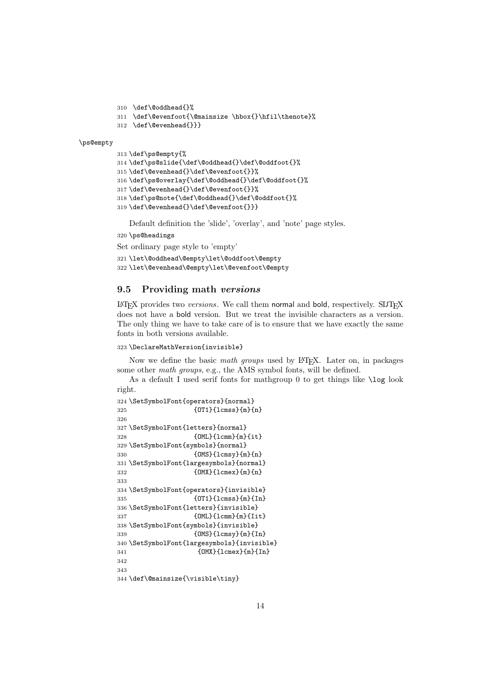```
310 \def\@oddhead{}%
```

```
311 \def\@evenfoot{\@mainsize \hbox{}\hfil\thenote}%
```

```
312 \def\@evenhead{}}}
```
#### \ps@empty

```
313 \def\ps@empty{%
314 \def\ps@slide{\def\@oddhead{}\def\@oddfoot{}%
315 \def\@evenhead{}\def\@evenfoot{}}%
316 \def\ps@overlay{\def\@oddhead{}\def\@oddfoot{}%
317 \def\@evenhead{}\def\@evenfoot{}}%
318 \def\ps@note{\def\@oddhead{}\def\@oddfoot{}%
319 \def\@evenhead{}\def\@evenfoot{}}}
```
Default definition the 'slide', 'overlay', and 'note' page styles.

```
320 \ps@headings
```
Set ordinary page style to 'empty'

```
321 \let\@oddhead\@empty\let\@oddfoot\@empty
322 \let\@evenhead\@empty\let\@evenfoot\@empty
```
### 9.5 Providing math versions

 $LAT$ <sub>EX</sub> provides two *versions*. We call them normal and bold, respectively. SLIT<sub>EX</sub> does not have a bold version. But we treat the invisible characters as a version. The only thing we have to take care of is to ensure that we have exactly the same fonts in both versions available.

#### \DeclareMathVersion{invisible}

Now we define the basic math groups used by LAT<sub>EX</sub>. Later on, in packages some other math groups, e.g., the AMS symbol fonts, will be defined.

As a default I used serif fonts for mathgroup 0 to get things like \log look right.

```
324 \SetSymbolFont{operators}{normal}
325 {OT1}{lcmss}{m}{n}
326
327 \SetSymbolFont{letters}{normal}
328 {OML}{lcmm}{m}{it}
329 \SetSymbolFont{symbols}{normal}
330 {OMS}{lcmsy}{m}{n}
331 \SetSymbolFont{largesymbols}{normal}
332 {OMX}{lcmex}{m}{n}
333
334 \SetSymbolFont{operators}{invisible}
335 {OT1}{lcmss}{m}{In}
336 \SetSymbolFont{letters}{invisible}
337 {OML}{lcmm}{m}{Iit}
338 \SetSymbolFont{symbols}{invisible}
339 {OMS}{lcmsy}{m}{In}
340 \SetSymbolFont{largesymbols}{invisible}
341 {OMX}{lcmex}{m}{In}
342
343
344 \def\@mainsize{\visible\tiny}
```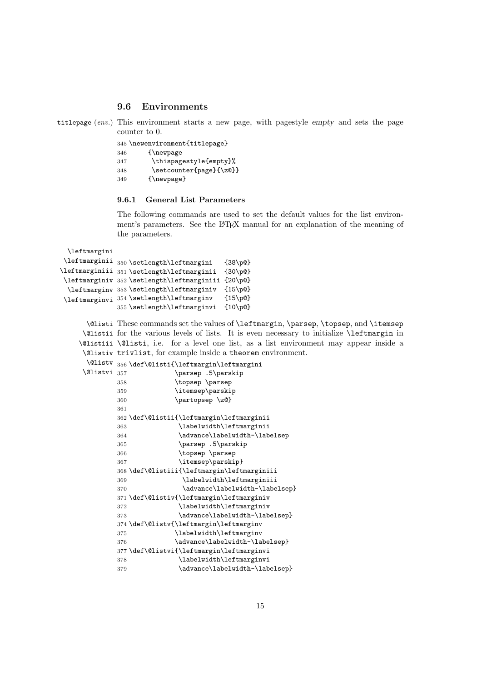#### 9.6 Environments

```
titlepage (env.) This environment starts a new page, with pagestyle empty and sets the page
                counter to 0.
```

|     | 345 \newenvironment{titlepage} |
|-----|--------------------------------|
| 346 | {\newpage}                     |
| 347 | \thispagestyle{empty}%         |
| 348 | \setcounter{page}{\z@}}        |
| 349 | $\{\n  newpage\}$              |

#### 9.6.1 General List Parameters

The following commands are used to set the default values for the list environment's parameters. See the LATEX manual for an explanation of the meaning of the parameters.

\leftmargini

```
\leftmarginii
350 \setlength\leftmargini {38\p@}
\leftmarginiii
351 \setlength\leftmarginii {30\p@}
 \leftmarginiv
352 \setlength\leftmarginiii {20\p@}
  \leftmarginv
353 \setlength\leftmarginiv {15\p@}
 \leftmarginvi
354 \setlength\leftmarginv {15\p@}
              355 \setlength\leftmarginvi {10\p@}
```
\@listi These commands set the values of \leftmargin, \parsep, \topsep, and \itemsep \@listii for the various levels of lists. It is even necessary to initialize \leftmargin in \@listiii \@listi, i.e. for a level one list, as a list environment may appear inside a \@listiv trivlist, for example inside a theorem environment.

|                                  |     | $\verb+\Qlistv _356\def\@listi{\leftthargin\leftthargin\right}$ |
|----------------------------------|-----|-----------------------------------------------------------------|
| <b><i><u>Olistvi</u></i></b> 357 |     | \parsep .5\parskip                                              |
|                                  | 358 | \topsep\parsep                                                  |
|                                  | 359 | \itemsep\parskip                                                |
|                                  | 360 | \partopsep\z@}                                                  |
|                                  | 361 |                                                                 |
|                                  |     | 362 \def\@listii{\leftmargin\leftmarginii                       |
|                                  | 363 | \labelwidth\leftmarginii                                        |
|                                  | 364 | \advance\labelwidth-\labelsep                                   |
|                                  | 365 | \parsep .5\parskip                                              |
|                                  | 366 | \topsep \parsep                                                 |
|                                  | 367 | \itemsep\parskip}                                               |
|                                  |     | 368 \def\@listiii{\leftmargin\leftmarginiii                     |
|                                  | 369 | \labelwidth\leftmarginiii                                       |
|                                  | 370 | \advance\labelwidth-\labelsep}                                  |
|                                  |     | 371 \def\@listiv{\leftmargin\leftmarginiv                       |
|                                  | 372 | \labelwidth\leftmarginiv                                        |
|                                  | 373 | \advance\labelwidth-\labelsep}                                  |
|                                  |     | 374 \def\@listv{\leftmargin\leftmarginv                         |
|                                  | 375 | \labelwidth\leftmarginv                                         |
|                                  | 376 | \advance\labelwidth-\labelsep}                                  |
|                                  |     | 377 \def\@listvi{\leftmargin\leftmarginvi                       |
|                                  | 378 | \labelwidth\leftmarginvi                                        |
|                                  | 379 | \advance\labelwidth-\labelsep}                                  |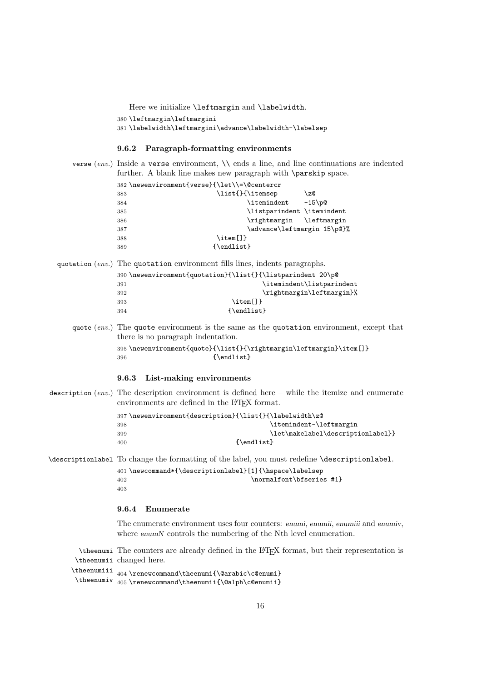Here we initialize **\leftmargin** and **\labelwidth**.

```
380 \leftmargin\leftmargini
```
381 \labelwidth\leftmargini\advance\labelwidth-\labelsep

### 9.6.2 Paragraph-formatting environments

| verse (env.) Inside a verse environment, $\setminus$ ends a line, and line continuations are indented<br>further. A blank line makes new paragraph with \parskip space.                                                                                                                                         |
|-----------------------------------------------------------------------------------------------------------------------------------------------------------------------------------------------------------------------------------------------------------------------------------------------------------------|
| 382 \newenvironment{verse}{\let\\=\@centercr<br>\list{}{\itemsep<br>\z@<br>383<br>\itemindent<br>$-15$ p<br>384<br>\listparindent \itemindent<br>385<br>\leftmargin<br>\rightmargin<br>386<br>\advance\leftmargin 15\p@}%<br>387<br>$\item[]$<br>388<br>{\endlist}<br>389                                       |
| quotation (env.) The quotation environment fills lines, indents paragraphs.<br>390 \newenvironment{quotation}{\list{}{\listparindent 20\p@<br>\itemindent\listparindent<br>391<br>\rightmargin\leftmargin}%<br>392<br>$\item[]$<br>393<br>{\endlist}<br>394                                                     |
| quote $(\text{env.})$ The quote environment is the same as the quotation environment, except that<br>there is no paragraph indentation.<br>395\newenvironment{quote}{\list{}{\rightmargin\leftmargin}\item[]}<br>$\{$ \endlist}<br>396<br>9.6.3<br>List-making environments                                     |
| description (env.) The description environment is defined here – while the itemize and enumerate<br>environments are defined in the IATFX format.<br>397 \newenvironment{description}{\list{}{\labelwidth\z@<br>\itemindent-\leftmargin<br>398<br>\let\makelabel\descriptionlabel}}<br>399<br>{\endlist}<br>400 |
| \descriptionlabel To change the formatting of the label, you must redefine \descriptionlabel.<br>401\newcommand*{\descriptionlabel}[1]{\hspace\labelsep<br>\normalfont\bfseries #1}<br>402<br>403                                                                                                               |

# 9.6.4 Enumerate

The enumerate environment uses four counters: enumi, enumii, enumiii and enumiv, where enumN controls the numbering of the Nth level enumeration.

\theenumi The counters are already defined in the LATEX format, but their representation is \theenumii changed here.

\theenumiii \theenumiv 404 \renewcommand\theenumi{\@arabic\c@enumi} 405 \renewcommand\theenumii{\@alph\c@enumii}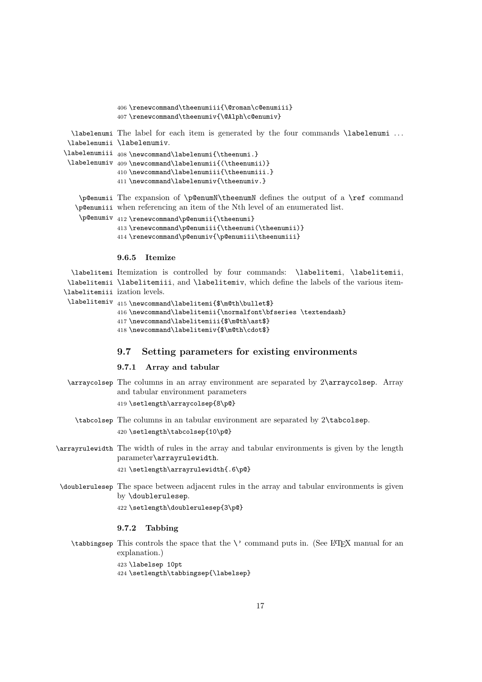```
406 \renewcommand\theenumiii{\@roman\c@enumiii}
              407 \renewcommand\theenumiv{\@Alph\c@enumiv}
  \labelenumi
The label for each item is generated by the four commands \labelenumi . . .
 \labelenumii
\labelenumiv.
\labelenumiii 408\newcommand\labelenumi{\theenumi.}
 \labelenumiv 409\newcommand\labelenumii{(\theenumii)}
              410 \newcommand\labelenumiii{\theenumiii.}
              411 \newcommand\labelenumiv{\theenumiv.}
    \p@enumii
The expansion of \p@enumN\theenumN defines the output of a \ref command
   \p@enumiii
when referencing an item of the Nth level of an enumerated list.
    \p@enumiv 412\renewcommand\p@enumii{\theenumi}
              413 \renewcommand\p@enumiii{\theenumi(\theenumii)}
              414 \renewcommand\p@enumiv{\p@enumiii\theenumiii}
```
#### 9.6.5 Itemize

```
\labelitemi
Itemization is controlled by four commands: \labelitemi, \labelitemii,
 \labelitemii
\labelitemiii, and \labelitemiv, which define the labels of the various item-
\labelitemiii
ization levels.
 \labelitemiv 415 \newcommand\labelitemi{$\m@th\bullet$}
```

```
416 \newcommand\labelitemii{\normalfont\bfseries \textendash}
417 \newcommand\labelitemiii{$\m@th\ast$}
418 \newcommand\labelitemiv{$\m@th\cdot$}
```
### 9.7 Setting parameters for existing environments

#### 9.7.1 Array and tabular

- \arraycolsep The columns in an array environment are separated by 2\arraycolsep. Array and tabular environment parameters 419 \setlength\arraycolsep{8\p@}
	- \tabcolsep The columns in an tabular environment are separated by 2\tabcolsep. 420 \setlength\tabcolsep{10\p@}
- \arrayrulewidth The width of rules in the array and tabular environments is given by the length parameter\arrayrulewidth.

421 \setlength\arrayrulewidth{.6\p@}

\doublerulesep The space between adjacent rules in the array and tabular environments is given by \doublerulesep.

```
422 \setlength\doublerulesep{3\p@}
```
### 9.7.2 Tabbing

 $\t$ tabbingsep This controls the space that the  $\vee$  command puts in. (See LATEX manual for an explanation.) 423 \labelsep 10pt

424 \setlength\tabbingsep{\labelsep}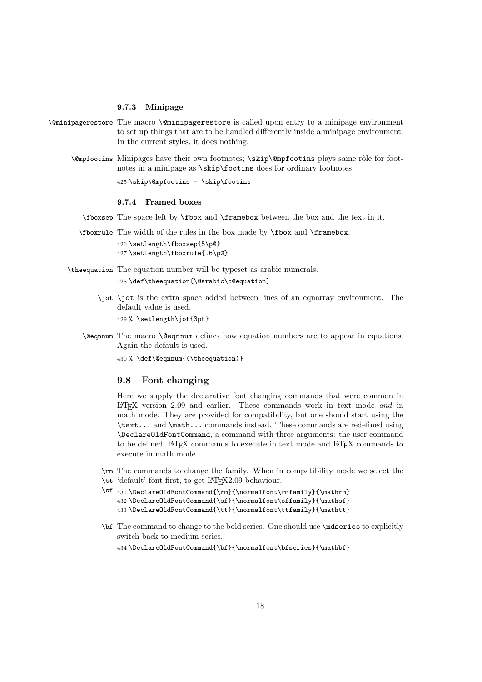#### 9.7.3 Minipage

- \@minipagerestore The macro \@minipagerestore is called upon entry to a minipage environment to set up things that are to be handled differently inside a minipage environment. In the current styles, it does nothing.
	- \@mpfootins Minipages have their own footnotes; \skip\@mpfootins plays same rôle for footnotes in a minipage as \skip\footins does for ordinary footnotes.

425 \skip\@mpfootins = \skip\footins

#### 9.7.4 Framed boxes

- \fboxsep The space left by \fbox and \framebox between the box and the text in it.
- \fboxrule The width of the rules in the box made by \fbox and \framebox.

426 \setlength\fboxsep{5\p@} 427 \setlength\fboxrule{.6\p@}

- \theequation The equation number will be typeset as arabic numerals.
	- 428 \def\theequation{\@arabic\c@equation}
	- \jot \jot is the extra space added between lines of an eqnarray environment. The default value is used.

429 % \setlength\jot{3pt}

\@eqnnum The macro \@eqnnum defines how equation numbers are to appear in equations. Again the default is used.

430 % \def\@eqnnum{(\theequation)}

### 9.8 Font changing

Here we supply the declarative font changing commands that were common in LATEX version 2.09 and earlier. These commands work in text mode and in math mode. They are provided for compatibility, but one should start using the \text... and \math... commands instead. These commands are redefined using \DeclareOldFontCommand, a command with three arguments: the user command to be defined, LAT<sub>E</sub>X commands to execute in text mode and LAT<sub>E</sub>X commands to execute in math mode.

- \rm The commands to change the family. When in compatibility mode we select the \tt 'default' font first, to get LATEX2.09 behaviour.
- \sf 431 \Declare01dFontCommand{\rm}{\normalfont\rmfamily}{\mathrm} 432\DeclareOldFontCommand{\sf}{\normalfont\sffamily}{\mathsf} 433\DeclareOldFontCommand{\tt}{\normalfont\ttfamily}{\mathtt}
- \bf The command to change to the bold series. One should use \mdseries to explicitly switch back to medium series.

434 \DeclareOldFontCommand{\bf}{\normalfont\bfseries}{\mathbf}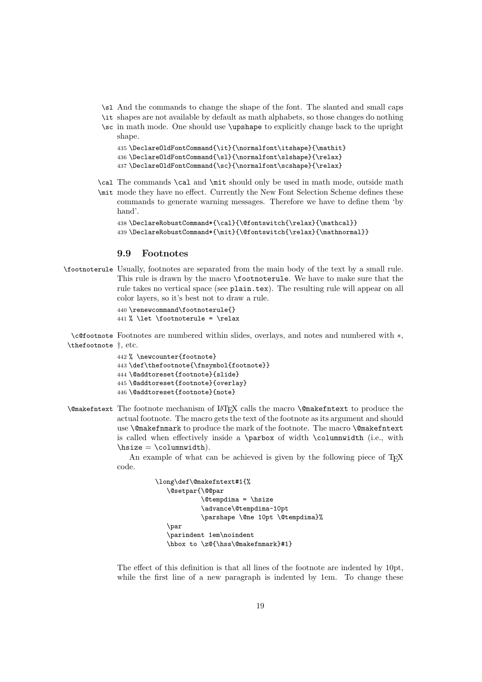- \sl And the commands to change the shape of the font. The slanted and small caps
- \it shapes are not available by default as math alphabets, so those changes do nothing
- \sc in math mode. One should use \upshape to explicitly change back to the upright shape.

```
435 \DeclareOldFontCommand{\it}{\normalfont\itshape}{\mathit}
436 \Declare0ldFontCommand{\sl}{\normalfont\slshape}{\relax}
437 \DeclareOldFontCommand{\sc}{\normalfont\scshape}{\relax}
```
- \cal The commands \cal and \mit should only be used in math mode, outside math \mit mode they have no effect. Currently the New Font Selection Scheme defines these
	- commands to generate warning messages. Therefore we have to define them 'by hand'.

```
438 \DeclareRobustCommand*{\cal}{\@fontswitch{\relax}{\mathcal}}
439 \DeclareRobustCommand*{\mit}{\@fontswitch{\relax}{\mathnormal}}
```
### 9.9 Footnotes

\footnoterule Usually, footnotes are separated from the main body of the text by a small rule. This rule is drawn by the macro \footnoterule. We have to make sure that the rule takes no vertical space (see plain.tex). The resulting rule will appear on all color layers, so it's best not to draw a rule.

```
440 \renewcommand\footnoterule{}
441 % \let \footnoterule = \relax
```
\c@footnote Footnotes are numbered within slides, overlays, and notes and numbered with ∗, \thefootnote †, etc.

```
442 % \newcounter{footnote}
443 \def\thefootnote{\fnsymbol{footnote}}
444 \@addtoreset{footnote}{slide}
445 \@addtoreset{footnote}{overlay}
446 \@addtoreset{footnote}{note}
```
\@makefntext The footnote mechanism of LATEX calls the macro \@makefntext to produce the actual footnote. The macro gets the text of the footnote as its argument and should use \@makefnmark to produce the mark of the footnote. The macro \@makefntext is called when effectively inside a \parbox of width \columnwidth (i.e., with  $\hbox{\tt \%}$ 

> An example of what can be achieved is given by the following piece of T<sub>E</sub>X code.

```
\long\def\@makefntext#1{%
   \@setpar{\@@par
            \@tempdima = \hsize
            \advance\@tempdima-10pt
            \parshape \@ne 10pt \@tempdima}%
   \par
   \parindent 1em\noindent
   \hbox to \z@{\hss\@makefnmark}#1}
```
The effect of this definition is that all lines of the footnote are indented by 10pt, while the first line of a new paragraph is indented by 1em. To change these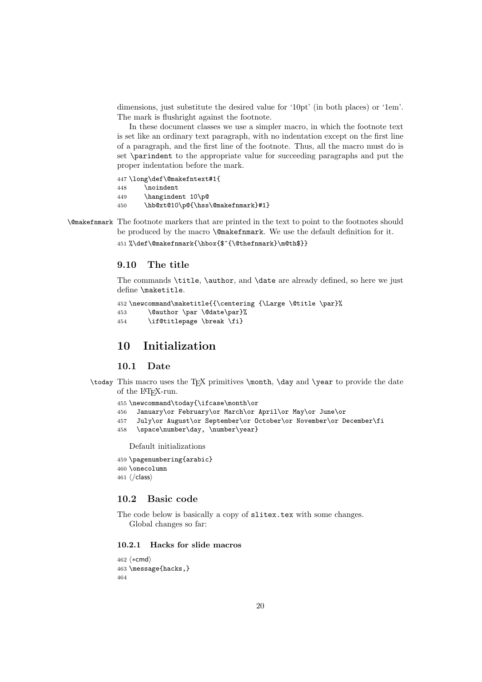dimensions, just substitute the desired value for '10pt' (in both places) or '1em'. The mark is flushright against the footnote.

In these document classes we use a simpler macro, in which the footnote text is set like an ordinary text paragraph, with no indentation except on the first line of a paragraph, and the first line of the footnote. Thus, all the macro must do is set \parindent to the appropriate value for succeeding paragraphs and put the proper indentation before the mark.

447 \long\def\@makefntext#1{

- 448 \noindent
- 449 \hangindent 10\p@
- 450 \hb@xt@10\p@{\hss\@makefnmark}#1}
- \@makefnmark The footnote markers that are printed in the text to point to the footnotes should be produced by the macro \@makefnmark. We use the default definition for it.

451 %\def\@makefnmark{\hbox{\$^{\@thefnmark}\m@th\$}}

# 9.10 The title

The commands \title, \author, and \date are already defined, so here we just define \maketitle.

```
452 \newcommand\maketitle{{\centering {\Large \@title \par}%
453 \@author \par \@date\par}%
454 \if@titlepage \break \fi}
```
# 10 Initialization

#### 10.1 Date

\today This macro uses the TEX primitives \month, \day and \year to provide the date of the L<sup>AT</sup><sub>E</sub>X-run.

455 \newcommand\today{\ifcase\month\or

- 456 January\or February\or March\or April\or May\or June\or
- 457 July\or August\or September\or October\or November\or December\fi
- 458 \space\number\day, \number\year}

Default initializations

- 459 \pagenumbering{arabic}
- 460 \onecolumn
- 461 ⟨/class⟩

# 10.2 Basic code

The code below is basically a copy of slitex.tex with some changes. Global changes so far:

### 10.2.1 Hacks for slide macros

```
462 ⟨∗cmd⟩
463 \message{hacks,}
464
```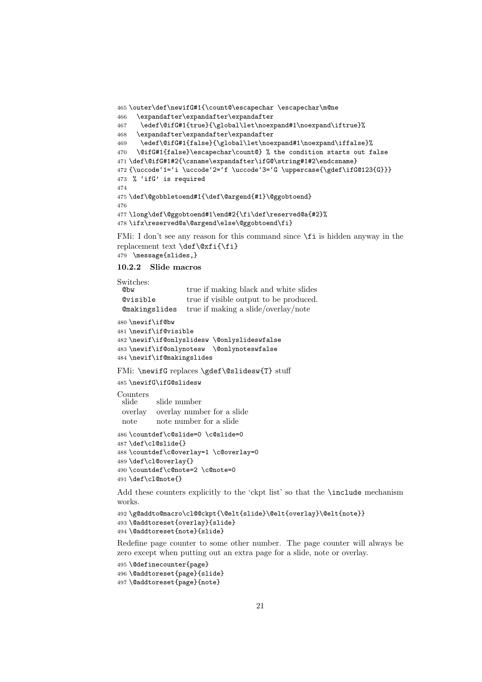```
465 \outer\def\newifG#1{\count@\escapechar \escapechar\m@ne
466 \expandafter\expandafter\expandafter
467 \edef\@ifG#1{true}{\global\let\noexpand#1\noexpand\iftrue}%
468 \expandafter\expandafter\expandafter
469 \edef\@ifG#1{false}{\global\let\noexpand#1\noexpand\iffalse}%
470 \@ifG#1{false}\escapechar\count@} % the condition starts out false
471 \def\@ifG#1#2{\csname\expandafter\ifG@\string#1#2\endcsname}
472 {\uccode'1='i \uccode'2='f \uccode'3='G \uppercase{\gdef\ifG@123{G}}}
473 % 'ifG' is required
474
475 \def\@gobbletoend#1{\def\@argend{#1}\@ggobtoend}
476
477 \long\def\@ggobtoend#1\end#2{\fi\def\reserved@a{#2}%
478 \ifx\reserved@a\@argend\else\@ggobtoend\fi}
```
FMi: I don't see any reason for this command since \fi is hidden anyway in the replacement text \def\@xfi{\fi} \message{slides,}

### 10.2.2 Slide macros

Switches: @bw true if making black and white slides @visible true if visible output to be produced. @makingslides true if making a slide/overlay/note \newif\if@bw \newif\if@visible \newif\if@onlyslidesw \@onlyslideswfalse \newif\if@onlynotesw \@onlynoteswfalse \newif\if@makingslides FMi: \newifG replaces \gdef\@slidesw{T} stuff

\newifG\ifG@slidesw

```
Counters
          slide slide number
 overlay overlay number for a slide
 note note number for a slide
486 \countdef\c@slide=0 \c@slide=0
```

```
487 \def\cl@slide{}
488 \countdef\c@overlay=1 \c@overlay=0
489 \def\cl@overlay{}
490 \countdef\c@note=2 \c@note=0
491 \def\cl@note{}
```
Add these counters explicitly to the 'ckpt list' so that the \include mechanism works.

```
492 \g@addto@macro\cl@@ckpt{\@elt{slide}\@elt{overlay}\@elt{note}}
493 \@addtoreset{overlay}{slide}
494 \@addtoreset{note}{slide}
```
Redefine page counter to some other number. The page counter will always be zero except when putting out an extra page for a slide, note or overlay.

```
495 \@definecounter{page}
496 \@addtoreset{page}{slide}
```

```
497 \@addtoreset{page}{note}
```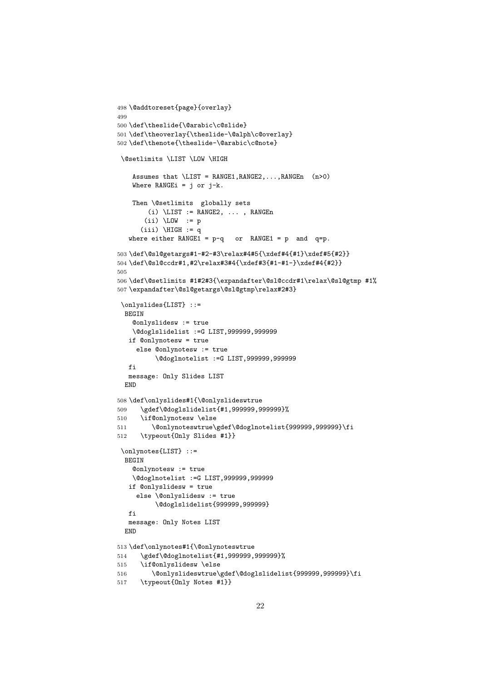```
498 \@addtoreset{page}{overlay}
499
500 \def\theslide{\@arabic\c@slide}
501 \def\theoverlay{\theslide-\@alph\c@overlay}
502 \def\thenote{\theslide-\@arabic\c@note}
 \@setlimits \LIST \LOW \HIGH
    Assumes that \L{IST} = \text{RANGE1}, \text{RANGE2}, \ldots, \text{RANGEn} (n>0)
    Where RANGEi = j or j-k.
    Then \@setlimits globally sets
        (i) \backslash LIST := RANGE2, \ldots, RANGEn(ii) \Upsilon \Upsilon := p
      (iii) \HIGH := qwhere either RANGE1 = p-q or RANGE1 = p and q=p.
503 \def\@sl@getargs#1-#2-#3\relax#4#5{\xdef#4{#1}\xdef#5{#2}}
504 \def\@sl@ccdr#1,#2\relax#3#4{\xdef#3{#1-#1-}\xdef#4{#2}}
505
506 \def\@setlimits #1#2#3{\expandafter\@sl@ccdr#1\relax\@sl@gtmp #1%
507 \expandafter\@sl@getargs\@sl@gtmp\relax#2#3}
 \onlyslides{LIST} ::=
  BEGIN
    @onlyslidesw := true
    \@doglslidelist :=G LIST,999999,999999
   if @onlynotesw = true
     else @onlynotesw := true
          \@doglnotelist :=G LIST,999999,999999
   fi
  message: Only Slides LIST
  END
508 \def\onlyslides#1{\@onlyslideswtrue
509 \gdef\@doglslidelist{#1,999999,999999}%
510 \if@onlynotesw \else
511 \@onlynoteswtrue\gdef\@doglnotelist{999999,999999}\fi
512 \typeout{Only Slides #1}}
 \onlynotes{LIST} ::=
 BEGIN
    @onlynotesw := true
    \@doglnotelist :=G LIST,999999,999999
   if @onlyslidesw = true
     else \@onlyslidesw := true
          \@doglslidelist{999999,999999}
   fi
   message: Only Notes LIST
  END
513 \def\onlynotes#1{\@onlynoteswtrue
514 \gdef\@doglnotelist{#1,999999,999999}%
515 \if@onlyslidesw \else
516 \@onlyslideswtrue\gdef\@doglslidelist{999999,999999}\fi
517 \typeout{Only Notes #1}}
```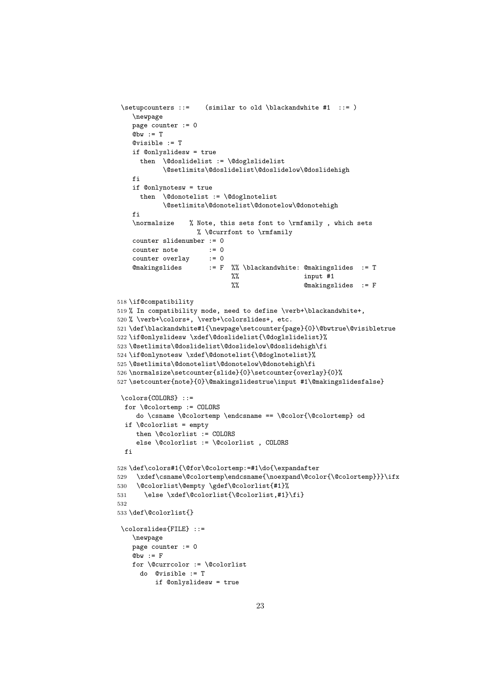```
\setupcounters ::= (similar to old \blackandwhite #1 ::= )
    \newpage
   page counter := 0
    Qbw := T
    @visible := T
    if @onlyslidesw = true
      then \@doslidelist := \@doglslidelist
            \@setlimits\@doslidelist\@doslidelow\@doslidehigh
    fi
    if @onlynotesw = true
      then \@donotelist := \@doglnotelist
            \@setlimits\@donotelist\@donotelow\@donotehigh
    fi
    \normalsize % Note, this sets font to \rmfamily , which sets
                    % \@currfont to \rmfamily
    counter slidenumber := 0
    counter note := 0
    counter overlay := 0
    @makingslides := F %% \blackandwhite: @makingslides := T
                              \frac{2}{3} % input #1
                                                @math>makingslides := F518 \if@compatibility
519 % In compatibility mode, need to define \verb+\blackandwhite+,
520 % \verb+\colors+, \verb+\colorslides+, etc.
521 \def\blackandwhite#1{\newpage\setcounter{page}{0}\@bwtrue\@visibletrue
522 \if@onlyslidesw \xdef\@doslidelist{\@doglslidelist}%
523 \@setlimits\@doslidelist\@doslidelow\@doslidehigh\fi
524 \if@onlynotesw \xdef\@donotelist{\@doglnotelist}%
525 \@setlimits\@donotelist\@donotelow\@donotehigh\fi
526 \normalsize\setcounter{slide}{0}\setcounter{overlay}{0}%
527 \setcounter{note}{0}\@makingslidestrue\input #1\@makingslidesfalse}
 \colors{COLORS} ::=
  for \@colortemp := COLORS
     do \csname \@colortemp \endcsname == \@color{\@colortemp} od
  if \@colorlist = empty
     then \@colorlist := COLORS
     else \@colorlist := \@colorlist , COLORS
  f_i528 \def\colors#1{\@for\@colortemp:=#1\do{\expandafter
529 \xdef\csname\@colortemp\endcsname{\noexpand\@color{\@colortemp}}}\ifx
530 \@colorlist\@empty \gdef\@colorlist{#1}%
531 \else \xdef\@colorlist{\@colorlist,#1}\fi}
532
533 \def\@colorlist{}
 \colorslides{FILE} ::=
   \newpage
   page counter := 0
    Qbw := Ffor \@currcolor := \@colorlist
     do @visible := T
          if @onlyslidesw = true
```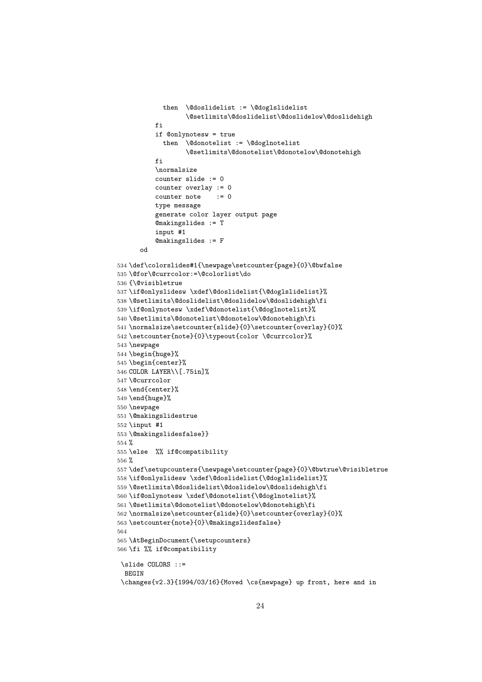```
then \@doslidelist := \@doglslidelist
                  \@setlimits\@doslidelist\@doslidelow\@doslidehigh
          fi
          if @onlynotesw = true
            then \@donotelist := \@doglnotelist
                  \@setlimits\@donotelist\@donotelow\@donotehigh
          fi
          \normalsize
          counter slide := 0
          counter overlay := 0
          counter note := 0
          type message
          generate color layer output page
          @makingslides := T
          input #1
          @makingslides := F
      od
534 \def\colorslides#1{\newpage\setcounter{page}{0}\@bwfalse
535 \@for\@currcolor:=\@colorlist\do
536 {\@visibletrue
537 \if@onlyslidesw \xdef\@doslidelist{\@doglslidelist}%
538 \@setlimits\@doslidelist\@doslidelow\@doslidehigh\fi
539 \if@onlynotesw \xdef\@donotelist{\@doglnotelist}%
540 \@setlimits\@donotelist\@donotelow\@donotehigh\fi
541 \normalsize\setcounter{slide}{0}\setcounter{overlay}{0}%
542 \setcounter{note}{0}\typeout{color \@currcolor}%
543 \newpage
544 \begin{huge}%
545 \begin{center}%
546 COLOR LAYER\\[.75in]%
547 \@currcolor
548 \end{center}%
549 \end{huge}%
550 \newpage
551 \@makingslidestrue
552 \input #1
553 \@makingslidesfalse}}
554 %
555 \else %% if@compatibility
556 %
557 \def\setupcounters{\newpage\setcounter{page}{0}\@bwtrue\@visibletrue
558 \if@onlyslidesw \xdef\@doslidelist{\@doglslidelist}%
559 \@setlimits\@doslidelist\@doslidelow\@doslidehigh\fi
560 \if@onlynotesw \xdef\@donotelist{\@doglnotelist}%
561 \@setlimits\@donotelist\@donotelow\@donotehigh\fi
562 \normalsize\setcounter{slide}{0}\setcounter{overlay}{0}%
563 \setcounter{note}{0}\@makingslidesfalse}
564
565 \AtBeginDocument{\setupcounters}
566 \fi %% if@compatibility
 \slide COLORS ::=
  BEGIN
 \changes{v2.3}{1994/03/16}{Moved \cs{newpage} up front, here and in
```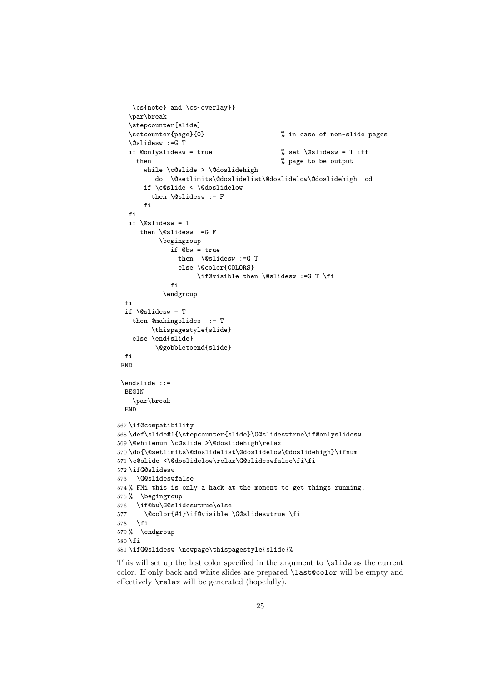```
\cs{note} and \cs{overlay}}
   \par\break
   \stepcounter{slide}
   \setcounter{page}{0} % in case of non-slide pages
   \@slidesw :=G T
   if @onlyslidesw = true % set \@slidesw = T iff
    then \% page to be output
      while \c@slide > \@doslidehigh
         do \@setlimits\@doslidelist\@doslidelow\@doslidehigh od
      if \c@slide < \@doslidelow
        then \@slidesw := F
      fi
  fi
  if \delta \eslidesw = T
     then \@slidesw :=G F
          \begingroup
             if @bw = true
               then \@slidesw :=G T
               else \@color{COLORS}
                    \if@visible then \@slidesw :=G T \fi
             fi
           \endgroup
 fi
 if \@slidesw = T
   then @makingslides := T
        \thispagestyle{slide}
   else \end{slide}
         \@gobbletoend{slide}
 fi
END
\endslide ::=
 BEGIN
    \par\break
 END
567 \if@compatibility
568 \def\slide#1{\stepcounter{slide}\G@slideswtrue\if@onlyslidesw
569 \@whilenum \c@slide >\@doslidehigh\relax
570 \do{\@setlimits\@doslidelist\@doslidelow\@doslidehigh}\ifnum
571 \c@slide <\@doslidelow\relax\G@slideswfalse\fi\fi
572 \ifG@slidesw
573 \G@slideswfalse
574 % FMi this is only a hack at the moment to get things running.
575 % \begingroup
576 \if@bw\G@slideswtrue\else
577 \@color{#1}\if@visible \G@slideswtrue \fi
578 \fi
579 % \endgroup
580 \fi
581 \ifG@slidesw \newpage\thispagestyle{slide}%
```
This will set up the last color specified in the argument to \slide as the current color. If only back and white slides are prepared \last@color will be empty and effectively \relax will be generated (hopefully).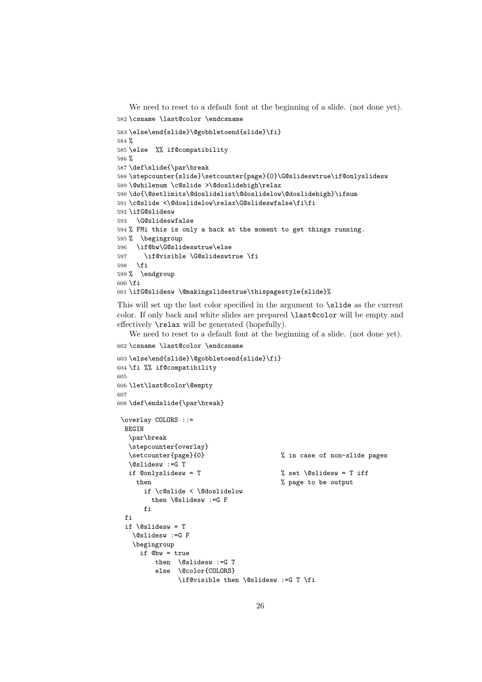```
We need to reset to a default font at the beginning of a slide. (not done yet).
582 \csname \last@color \endcsname
583 \else\end{slide}\@gobbletoend{slide}\fi}
584 %
585 \else %% if@compatibility
586 %
587 \def\slide{\par\break
588 \stepcounter{slide}\setcounter{page}{0}\G@slideswtrue\if@onlyslidesw
589 \@whilenum \c@slide >\@doslidehigh\relax
590 \do{\@setlimits\@doslidelist\@doslidelow\@doslidehigh}\ifnum
591 \c@slide <\@doslidelow\relax\G@slideswfalse\fi\fi
592 \ifG@slidesw
593 \G@slideswfalse
594 % FMi this is only a hack at the moment to get things running.
595 % \begingroup
596 \if@bw\G@slideswtrue\else
597 \if@visible \G@slideswtrue \fi
598 \fi
599 % \endgroup
600 \fi
601 \ifG@slidesw \@makingslidestrue\thispagestyle{slide}%
```
This will set up the last color specified in the argument to \slide as the current color. If only back and white slides are prepared \last@color will be empty and effectively \relax will be generated (hopefully).

We need to reset to a default font at the beginning of a slide. (not done yet). 602 \csname \last@color \endcsname

```
603 \else\end{slide}\@gobbletoend{slide}\fi}
604 \fi %% if@compatibility
605
606 \let\last@color\@empty
607
608 \def\endslide{\par\break}
\overlay COLORS ::=
 BEGIN
  \par\break
  \stepcounter{overlay}
  \setcounter{page}{0} % in case of non-slide pages
  \@slidesw :=G T
  if \text{Conlyslides} = T \text{Superscript{th}} % set \text{Aslides} = T iff
    then \% page to be output
      if \c@slide < \@doslidelow
        then \@slidesw :=G F
      fi
 fi
 if \lambdaslidesw = T
   \@slidesw :=G F
   \begingroup
     if @bw = true
         then \@slidesw :=G T
         else \@color{COLORS}
               \if@visible then \@slidesw :=G T \fi
```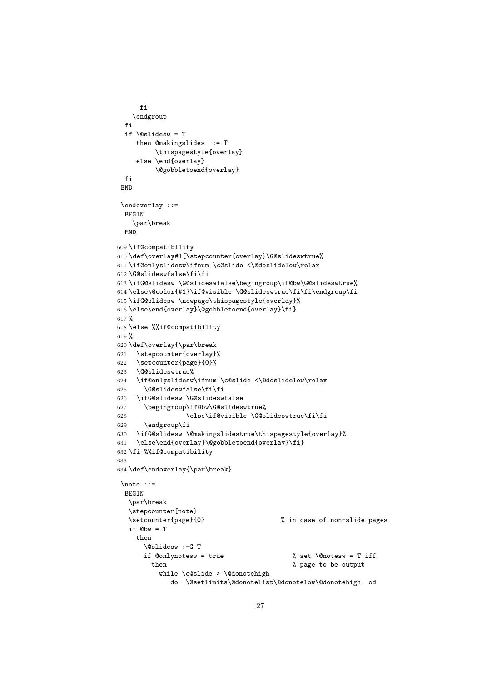```
fi
   \endgroup
 fi
 if \delta \eslidesw = T
    then @makingslides := T
         \thispagestyle{overlay}
     else \end{overlay}
         \@gobbletoend{overlay}
 fi
 END
 \endoverlay ::=
 BEGIN
    \par\break
 END
609 \if@compatibility
610 \def\overlay#1{\stepcounter{overlay}\G@slideswtrue%
611 \if@onlyslidesw\ifnum \c@slide <\@doslidelow\relax
612 \G@slideswfalse\fi\fi
613 \ifG@slidesw \G@slideswfalse\begingroup\if@bw\G@slideswtrue%
614 \else\@color{#1}\if@visible \G@slideswtrue\fi\fi\endgroup\fi
615 \ifG@slidesw \newpage\thispagestyle{overlay}%
616 \else\end{overlay}\@gobbletoend{overlay}\fi}
617 %
618 \else %%if@compatibility
619 %
620 \def\overlay{\par\break
621 \stepcounter{overlay}%
622 \setcounter{page}{0}%
623 \G@slideswtrue%
624 \if@onlyslidesw\ifnum \c@slide <\@doslidelow\relax
625 \G@slideswfalse\fi\fi
626 \ifG@slidesw \G@slideswfalse
627 \begingroup\if@bw\G@slideswtrue%
628 \else\if@visible \G@slideswtrue\fi\fi
629 \endgroup\fi
630 \ifG@slidesw \@makingslidestrue\thispagestyle{overlay}%
631 \else\end{overlay}\@gobbletoend{overlay}\fi}
632 \fi %%if@compatibility
633
634 \def\endoverlay{\par\break}
 \note ::=
 BEGIN
   \par\break
   \stepcounter{note}
   \setcounter{page}{0} % in case of non-slide pages
  if Qbw = T
    then
      \@slidesw :=G T
      if @only notesw = true % set \@notesw = T iff
        then \% page to be output
          while \c@slide > \@donotehigh
             do \@setlimits\@donotelist\@donotelow\@donotehigh od
```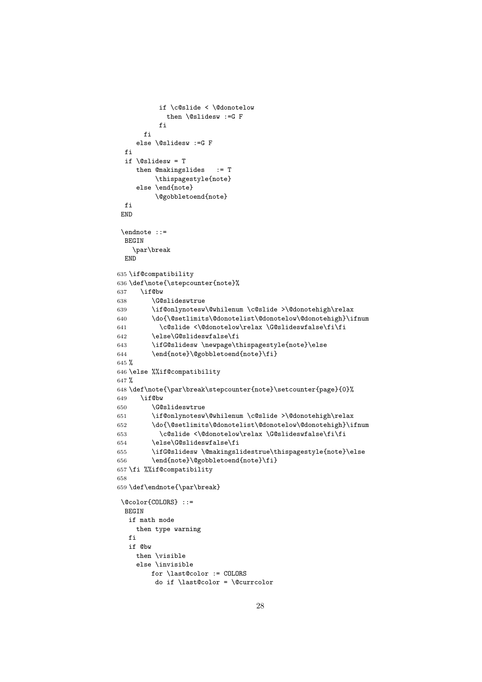```
if \c@slide < \@donotelow
            then \@slidesw :=G F
          fi
      fi
    else \@slidesw :=G F
 fi
 if \@slidesw = T
    then @makingslides := T
         \thispagestyle{note}
     else \end{note}
         \@gobbletoend{note}
 fi
 END
 \endnote ::=
 BEGIN
    \par\break
 END
635 \if@compatibility
636 \def\note{\stepcounter{note}%
637 \if@bw
638 \G@slideswtrue
639 \if@onlynotesw\@whilenum \c@slide >\@donotehigh\relax
640 \do{\@setlimits\@donotelist\@donotelow\@donotehigh}\ifnum
641 \c@slide <\@donotelow\relax \G@slideswfalse\fi\fi
642 \else\G@slideswfalse\fi
643 \ifG@slidesw \newpage\thispagestyle{note}\else
644 \end{note}\@gobbletoend{note}\fi}
645 %
646 \else %%if@compatibility
647 %
648 \def\note{\par\break\stepcounter{note}\setcounter{page}{0}%
649 \if@bw
650 \G@slideswtrue
651 \if@onlynotesw\@whilenum \c@slide >\@donotehigh\relax
652 \do{\@setlimits\@donotelist\@donotelow\@donotehigh}\ifnum
653 \c@slide <\@donotelow\relax \G@slideswfalse\fi\fi
654 \else\G@slideswfalse\fi
655 \ifG@slidesw \@makingslidestrue\thispagestyle{note}\else
656 \end{note}\@gobbletoend{note}\fi}
657 \fi %%if@compatibility
658
659 \def\endnote{\par\break}
 \@color{COLORS} ::=
 BEGIN
  if math mode
    then type warning
   f_iif @bw
    then \visible
    else \invisible
        for \last@color := COLORS
         do if \last@color = \@currcolor
```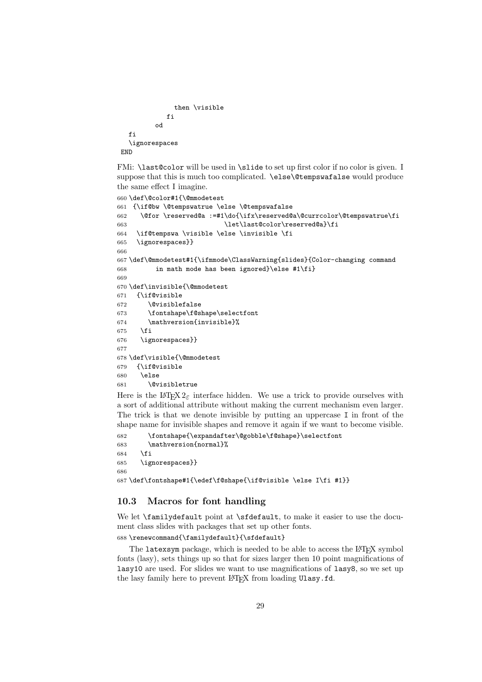```
then \visible
             fi
          od
  fi
  \ignorespaces
END
```
FMi: \last@color will be used in \slide to set up first color if no color is given. I suppose that this is much too complicated. \else\@tempswafalse would produce the same effect I imagine.

```
660 \def\@color#1{\@mmodetest
661 {\if@bw \@tempswatrue \else \@tempswafalse
662 \@for \reserved@a :=#1\do{\ifx\reserved@a\@currcolor\@tempswatrue\fi
663 \let\last@color\reserved@a}\fi
664 \if@tempswa \visible \else \invisible \fi
665 \ignorespaces}}
666
667 \def\@mmodetest#1{\ifmmode\ClassWarning{slides}{Color-changing command
668 in math mode has been ignored}\else #1\fi}
669
670 \def\invisible{\@mmodetest
671 {\if@visible
672 \@visiblefalse
673 \fontshape\f@shape\selectfont
674 \mathversion{invisible}%
675 \fi
676 \ignorespaces}}
677
678 \def\visible{\@mmodetest
679 {\if@visible
680 \else
681 \@visibletrue
```
Here is the LAT<sub>E</sub>X  $2\varepsilon$  interface hidden. We use a trick to provide ourselves with a sort of additional attribute without making the current mechanism even larger. The trick is that we denote invisible by putting an uppercase I in front of the shape name for invisible shapes and remove it again if we want to become visible.

```
682 \fontshape{\expandafter\@gobble\f@shape}\selectfont
683 \mathversion{normal}%
684 \fi
685 \ignorespaces}}
686
687 \def\fontshape#1{\edef\f@shape{\if@visible \else I\fi #1}}
```
# 10.3 Macros for font handling

We let \familydefault point at \sfdefault, to make it easier to use the document class slides with packages that set up other fonts.

688 \renewcommand{\familydefault}{\sfdefault}

The latexsym package, which is needed to be able to access the LAT<sub>EX</sub> symbol fonts (lasy), sets things up so that for sizes larger then 10 point magnifications of lasy10 are used. For slides we want to use magnifications of lasy8, so we set up the lasy family here to prevent LATEX from loading Ulasy.fd.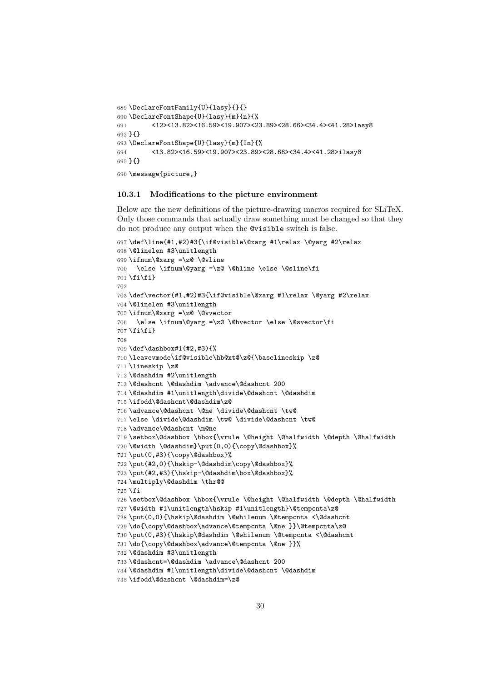```
689 \DeclareFontFamily{U}{lasy}{}{}
690 \DeclareFontShape{U}{lasy}{m}{n}{%
691 <12><13.82><16.59><19.907><23.89><28.66><34.4><41.28>lasy8
692 }{}
693 \DeclareFontShape{U}{lasy}{m}{In}{%
694 <13.82><16.59><19.907><23.89><28.66><34.4><41.28>ilasy8
695 }{}
696 \message{picture,}
```
#### 10.3.1 Modifications to the picture environment

Below are the new definitions of the picture-drawing macros required for SLiTeX. Only those commands that actually draw something must be changed so that they do not produce any output when the @visible switch is false.

```
697 \def\line(#1,#2)#3{\if@visible\@xarg #1\relax \@yarg #2\relax
698 \@linelen #3\unitlength
699 \ifnum\@xarg =\z@ \@vline
700 \else \ifnum\@yarg =\z@ \@hline \else \@sline\fi
701 \fi\fi}
702
703 \def\vector(#1,#2)#3{\if@visible\@xarg #1\relax \@yarg #2\relax
704 \@linelen #3\unitlength
705 \ifnum\@xarg =\z@ \@vvector
706 \else \ifnum\@yarg =\z@ \@hvector \else \@svector\fi
707 \fi\fi}
708
709 \def\dashbox#1(#2,#3){%
710 \leavevmode\if@visible\hb@xt@\z@{\baselineskip \z@
711 \lineskip \z@
712 \@dashdim #2\unitlength
713 \@dashcnt \@dashdim \advance\@dashcnt 200
714 \@dashdim #1\unitlength\divide\@dashcnt \@dashdim
715 \ifodd\@dashcnt\@dashdim\z@
716 \advance\@dashcnt \@ne \divide\@dashcnt \tw@
717 \else \divide\@dashdim \tw@ \divide\@dashcnt \tw@
718 \advance\@dashcnt \m@ne
719 \setbox\@dashbox \hbox{\vrule \@height \@halfwidth \@depth \@halfwidth
720 \@width \@dashdim}\put(0,0){\copy\@dashbox}%
721 \put(0,#3){\copy\@dashbox}%
722 \put(#2,0){\hskip-\@dashdim\copy\@dashbox}%
723 \put(#2,#3){\hskip-\@dashdim\box\@dashbox}%
724 \multiply\@dashdim \thr@@
725 \fi
726 \setbox\@dashbox \hbox{\vrule \@height \@halfwidth \@depth \@halfwidth
727 \@width #1\unitlength\hskip #1\unitlength}\@tempcnta\z@
728 \put(0,0){\hskip\@dashdim \@whilenum \@tempcnta <\@dashcnt
729 \do{\copy\@dashbox\advance\@tempcnta \@ne }}\@tempcnta\z@
730 \put(0,#3){\hskip\@dashdim \@whilenum \@tempcnta <\@dashcnt
731 \do{\copy\@dashbox\advance\@tempcnta \@ne }}%
732 \@dashdim #3\unitlength
733 \@dashcnt=\@dashdim \advance\@dashcnt 200
734 \@dashdim #1\unitlength\divide\@dashcnt \@dashdim
735 \ifodd\@dashcnt \@dashdim=\z@
```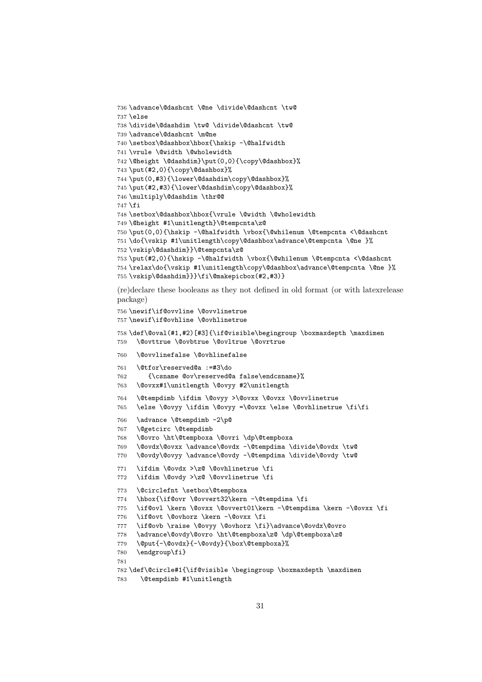```
736 \advance\@dashcnt \@ne \divide\@dashcnt \tw@
737 \else
738 \divide\@dashdim \tw@ \divide\@dashcnt \tw@
739 \advance\@dashcnt \m@ne
740 \setbox\@dashbox\hbox{\hskip -\@halfwidth
741 \vrule \@width \@wholewidth
742 \@height \@dashdim}\put(0,0){\copy\@dashbox}%
743 \put(#2,0){\copy\@dashbox}%
744 \put(0,#3){\lower\@dashdim\copy\@dashbox}%
745 \put(#2,#3){\lower\@dashdim\copy\@dashbox}%
746 \multiply\@dashdim \thr@@
747 \fi
748 \setbox\@dashbox\hbox{\vrule \@width \@wholewidth
749 \@height #1\unitlength}\@tempcnta\z@
750 \put(0,0){\hskip -\@halfwidth \vbox{\@whilenum \@tempcnta <\@dashcnt
751 \do{\vskip #1\unitlength\copy\@dashbox\advance\@tempcnta \@ne }%
752 \vskip\@dashdim}}\@tempcnta\z@
753 \put(#2,0){\hskip -\@halfwidth \vbox{\@whilenum \@tempcnta <\@dashcnt
754 \relax\do{\vskip #1\unitlength\copy\@dashbox\advance\@tempcnta \@ne }%
755 \vskip\@dashdim}}}\fi\@makepicbox(#2,#3)}
(re)declare these booleans as they not defined in old format (or with latexrelease
package)
756 \newif\if@ovvline \@ovvlinetrue
757 \newif\if@ovhline \@ovhlinetrue
```

```
759 \@ovttrue \@ovbtrue \@ovltrue \@ovrtrue
760 \@ovvlinefalse \@ovhlinefalse
761 \@tfor\reserved@a :=#3\do
762 {\csname @ov\reserved@a false\endcsname}%
763 \@ovxx#1\unitlength \@ovyy #2\unitlength
764 \@tempdimb \ifdim \@ovyy >\@ovxx \@ovxx \@ovvlinetrue
765 \else \@ovyy \ifdim \@ovyy =\@ovxx \else \@ovhlinetrue \fi\fi
766 \advance \@tempdimb -2\p@
767 \@getcirc \@tempdimb
768 \@ovro \ht\@tempboxa \@ovri \dp\@tempboxa
769 \@ovdx\@ovxx \advance\@ovdx -\@tempdima \divide\@ovdx \tw@
770 \@ovdy\@ovyy \advance\@ovdy -\@tempdima \divide\@ovdy \tw@
771 \ifdim \@ovdx >\z@ \@ovhlinetrue \fi
772 \ifdim \@ovdy >\z@ \@ovvlinetrue \fi
773 \@circlefnt \setbox\@tempboxa
774 \hbox{\if@ovr \@ovvert32\kern -\@tempdima \fi
775 \if@ovl \kern \@ovxx \@ovvert01\kern -\@tempdima \kern -\@ovxx \fi
776 \if@ovt \@ovhorz \kern -\@ovxx \fi
777 \if@ovb \raise \@ovyy \@ovhorz \fi}\advance\@ovdx\@ovro
778 \advance\@ovdy\@ovro \ht\@tempboxa\z@ \dp\@tempboxa\z@
779 \@put{-\@ovdx}{-\@ovdy}{\box\@tempboxa}%
780 \endgroup\fi}
781
782 \def\@circle#1{\if@visible \begingroup \boxmaxdepth \maxdimen
```
\def\@oval(#1,#2)[#3]{\if@visible\begingroup \boxmaxdepth \maxdimen

```
783 \@tempdimb #1\unitlength
```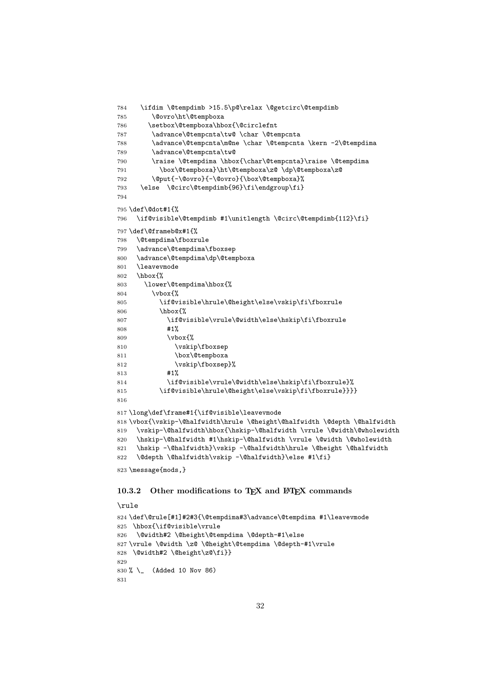```
784 \ifdim \@tempdimb >15.5\p@\relax \@getcirc\@tempdimb
785 \@ovro\ht\@tempboxa
786 \setbox\@tempboxa\hbox{\@circlefnt
787 \advance\@tempcnta\tw@ \char \@tempcnta
788 \advance\@tempcnta\m@ne \char \@tempcnta \kern -2\@tempdima
789 \advance\@tempcnta\tw@
790 \raise \@tempdima \hbox{\char\@tempcnta}\raise \@tempdima
791 \box\@tempboxa}\ht\@tempboxa\z@ \dp\@tempboxa\z@
792 \@put{-\@ovro}{-\@ovro}{\box\@tempboxa}%
793 \else \@circ\@tempdimb{96}\fi\endgroup\fi}
794
795 \def\@dot#1{%
796 \if@visible\@tempdimb #1\unitlength \@circ\@tempdimb{112}\fi}
797 \def\@frameb@x#1{%
798 \@tempdima\fboxrule
799 \advance\@tempdima\fboxsep
800 \advance\@tempdima\dp\@tempboxa
801 \leavevmode
802 \hbox{%
803 \lower\@tempdima\hbox{%
804 \vbox{%
805 \if@visible\hrule\@height\else\vskip\fi\fboxrule
806 \hbox{%
807 \if@visible\vrule\@width\else\hskip\fi\fboxrule
808 #1%
809 \quad \text{Vbox}\810 \vskip\fboxsep
811 \box\@tempboxa
812 \vskip\fboxsep}%
813 #1%
814 \if@visible\vrule\@width\else\hskip\fi\fboxrule}%
815 \if@visible\hrule\@height\else\vskip\fi\fboxrule}}}}
816
817 \long\def\frame#1{\if@visible\leavevmode
818 \vbox{\vskip-\@halfwidth\hrule \@height\@halfwidth \@depth \@halfwidth
819 \vskip-\@halfwidth\hbox{\hskip-\@halfwidth \vrule \@width\@wholewidth
820 \hskip-\@halfwidth #1\hskip-\@halfwidth \vrule \@width \@wholewidth
821 \hskip -\@halfwidth}\vskip -\@halfwidth\hrule \@height \@halfwidth
822 \@depth \@halfwidth\vskip -\@halfwidth}\else #1\fi}
823 \message{mods,}
```
#### 10.3.2 Other modifications to T<sub>E</sub>X and  $E$ F<sub>E</sub>X commands

```
\rule
824 \def\@rule[#1]#2#3{\@tempdima#3\advance\@tempdima #1\leavevmode
825 \hbox{\if@visible\vrule
826 \@width#2 \@height\@tempdima \@depth-#1\else
827 \vrule \@width \z@ \@height\@tempdima \@depth-#1\vrule
828 \@width#2 \@height\z@\fi}}
829
830 % \_ (Added 10 Nov 86)
831
```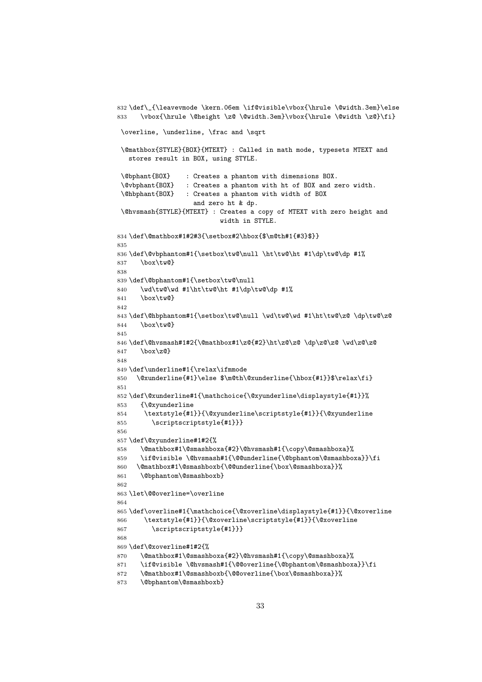```
832 \def\_{\leavevmode \kern.06em \if@visible\vbox{\hrule \@width.3em}\else
833 \vbox{\hrule \@height \z@ \@width.3em}\vbox{\hrule \@width \z@}\fi}
 \overline, \underline, \frac and \sqrt
 \@mathbox{STYLE}{BOX}{MTEXT} : Called in math mode, typesets MTEXT and
   stores result in BOX, using STYLE.
 \@bphant{BOX} : Creates a phantom with dimensions BOX.
 \@vbphant{BOX} : Creates a phantom with ht of BOX and zero width.
 \@hbphant{BOX} : Creates a phantom with width of BOX
                   and zero ht & dp.
 \@hvsmash{STYLE}{MTEXT} : Creates a copy of MTEXT with zero height and
                          width in STYLE.
834 \def\@mathbox#1#2#3{\setbox#2\hbox{$\m@th#1{#3}$}}
835
836 \def\@vbphantom#1{\setbox\tw@\null \ht\tw@\ht #1\dp\tw@\dp #1%
837 \box\tw@}
838
839 \def\@bphantom#1{\setbox\tw@\null
840 \wd\tw@\wd #1\ht\tw@\ht #1\dp\tw@\dp #1%
841 \box\tw@}
842
843 \def\@hbphantom#1{\setbox\tw@\null \wd\tw@\wd #1\ht\tw@\z@ \dp\tw@\z@
844 \box\tw@}
845
846 \def\@hvs \mathrel{1#2{\@math>math} \ht\z9{\z0 \d\rho\z0} \wd\z0}847 \box\z@}
848
849 \def\underline#1{\relax\ifmmode
850 \@xunderline{#1}\else $\m@th\@xunderline{\hbox{#1}}$\relax\fi}
851
852 \def\@xunderline#1{\mathchoice{\@xyunderline\displaystyle{#1}}%
853 {\@xyunderline
854 \textstyle{#1}}{\@xyunderline\scriptstyle{#1}}{\@xyunderline
855 \scriptscriptstyle{#1}}}
856
857 \def\@xyunderline#1#2{%
858 \@mathbox#1\@smashboxa{#2}\@hvsmash#1{\copy\@smashboxa}%
859 \if@visible \@hvsmash#1{\@@underline{\@bphantom\@smashboxa}}\fi
860 \@mathbox#1\@smashboxb{\@@underline{\box\@smashboxa}}%
861 \@bphantom\@smashboxb}
862
863 \let\@@overline=\overline
864
865 \def\overline#1{\mathchoice{\@xoverline\displaystyle{#1}}{\@xoverline
866 \textstyle{#1}}{\@xoverline\scriptstyle{#1}}{\@xoverline
867 \scriptscriptstyle{#1}}}
868
869 \def\@xoverline#1#2{%
870 \@mathbox#1\@smashboxa{#2}\@hvsmash#1{\copy\@smashboxa}%
871 \if@visible \@hvsmash#1{\@@overline{\@bphantom\@smashboxa}}\fi
872 \@mathbox#1\@smashboxb{\@@overline{\box\@smashboxa}}%
873 \@bphantom\@smashboxb}
```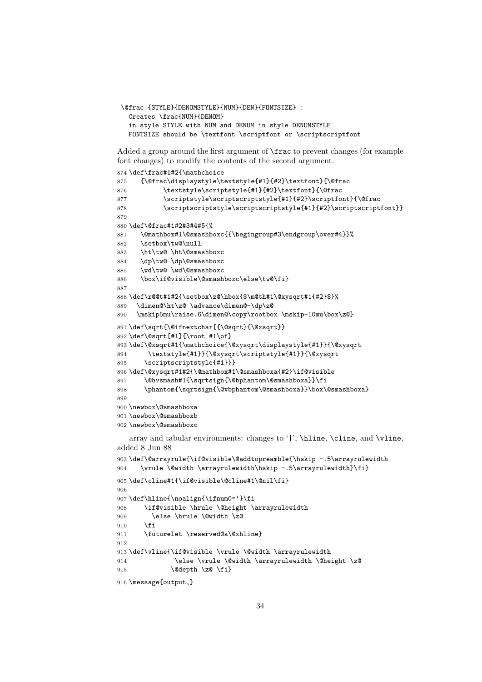```
\@frac {STYLE}{DENOMSTYLE}{NUM}{DEN}{FONTSIZE} :
  Creates \frac{NUM}{DENOM}
  in style STYLE with NUM and DENOM in style DENOMSTYLE
 FONTSIZE should be \textfont \scriptfont or \scriptscriptfont
```
Added a group around the first argument of \frac to prevent changes (for example font changes) to modify the contents of the second argument.

```
874 \def\frac#1#2{\mathchoice
875 {\@frac\displaystyle\textstyle{#1}{#2}\textfont}{\@frac
876 \textstyle\scriptstyle{#1}{#2}\textfont}{\@frac
877 \scriptstyle\scriptscriptstyle{#1}{#2}\scriptfont}{\@frac
878 \scriptscriptstyle\scriptscriptstyle{#1}{#2}\scriptscriptfont}}
879
880 \def\@frac#1#2#3#4#5{%
881 \@mathbox#1\@smashboxc{{\begingroup#3\endgroup\over#4}}%
882 \setbox\tw@\null
883 \ht\tw@ \ht\@smashboxc
884 \dp\tw@ \dp\@smashboxc
885 \wd\tw@ \wd\@smashboxc
886 \box\if@visible\@smashboxc\else\tw@\fi}
887
888 \def\r@@t#1#2{\setbox\z@\hbox{$\m@th#1\@xysqrt#1{#2}$}%
889 \dimen@\ht\z@ \advance\dimen@-\dp\z@
890 \mskip5mu\raise.6\dimen@\copy\rootbox \mskip-10mu\box\z@}
891 \def\sqrt{\@ifnextchar[{\@sqrt}{\@xsqrt}}
892 \def\@sqrt[#1]{\root #1\of}
893 \def\@xsqrt#1{\mathchoice{\@xysqrt\displaystyle{#1}}{\@xysqrt
894 \textstyle{#1}}{\@xysqrt\scriptstyle{#1}}{\@xysqrt
895 \scriptscriptstyle{#1}}}
896 \def\@xysqrt#1#2{\@mathbox#1\@smashboxa{#2}\if@visible
897 \@hvsmash#1{\sqrtsign{\@bphantom\@smashboxa}}\fi
898 \phantom{\sqrtsign{\@vbphantom\@smashboxa}}\box\@smashboxa}
899900 \newbox\@smashboxa
901 \newbox\@smashboxb
902 \newbox\@smashboxc
   array and tabular environments: changes to '|', \hline, \cline, and \vline,
added 8 Jun 88
903 \def\@arrayrule{\if@visible\@addtopreamble{\hskip -.5\arrayrulewidth
904 \vrule \@width \arrayrulewidth\hskip -.5\arrayrulewidth}\fi}
905 \def\cline#1{\if@visible\@cline#1\@nil\fi}
906
907\def\line{\nonumber\{ \infty 0 = '}\fi908 \if@visible \hrule \@height \arrayrulewidth
909 \else \hrule \@width \z@
910 \fi
```

```
911 \futurelet \reserved@a\@xhline}
912
```

```
913 \def\vline{\if@visible \vrule \@width \arrayrulewidth
914 \else \vrule \@width \arrayrulewidth \@height \z@
915 \@depth \z@ \fi}
```

```
916 \message{output,}
```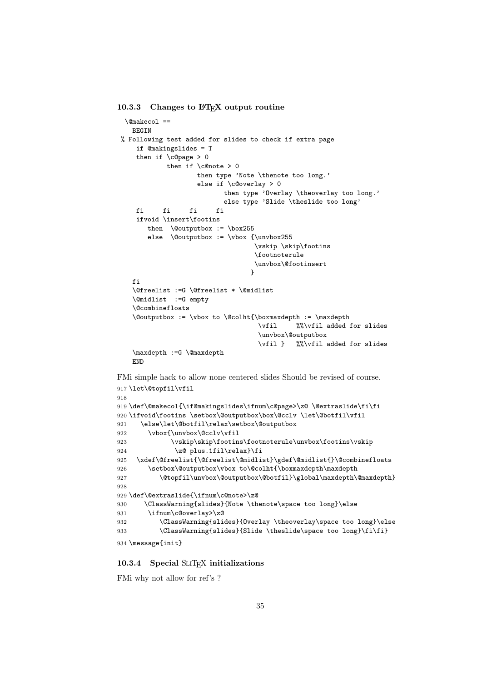#### 10.3.3 Changes to LATEX output routine

```
\@makecol ==
    BEGIN
 % Following test added for slides to check if extra page
     if @makingslides = T
     then if \c{0}page > 0
            then if \emptyset onote > 0
                    then type 'Note \thenote too long.'
                    else if \c@overlay > 0
                           then type 'Overlay \theoverlay too long.'
                         else type 'Slide \theslide too long'
     fi fi fi fi
     ifvoid \insert\footins
       then \@outputbox := \box255
       else \@outputbox := \vbox {\unvbox255}
                                   \vskip \skip\footins
                                   \footnoterule
                                   \unvbox\@footinsert
                                  }
    fi
    \@freelist :=G \@freelist * \@midlist
    \@midlist :=G empty
    \@combinefloats
    \@outputbox := \vbox to \@colht{\boxmaxdepth := \maxdepth
                                    \vfil %%\vfil added for slides
                                    \unvbox\@outputbox
                                    \vfil } %%\vfil added for slides
    \maxdepth :=G \@maxdepth
    END
FMi simple hack to allow none centered slides Should be revised of course.
917 \let\@topfil\vfil
918
919 \def\@makecol{\if@makingslides\ifnum\c@page>\z@ \@extraslide\fi\fi
920 \ifvoid\footins \setbox\@outputbox\box\@cclv \let\@botfil\vfil
921 \else\let\@botfil\relax\setbox\@outputbox
922 \vbox{\unvbox\@cclv\vfil
923 \vskip\skip\footins\footnoterule\unvbox\footins\vskip
924 \z<sup>o</sup> plus.1fil\relax}\fi
925 \xdef\@freelist{\@freelist\@midlist}\gdef\@midlist{}\@combinefloats
926 \setbox\@outputbox\vbox to\@colht{\boxmaxdepth\maxdepth
927 \@topfil\unvbox\@outputbox\@botfil}\global\maxdepth\@maxdepth}
928
929 \def\@extraslide{\ifnum\c@note>\z@
930 \ClassWarning{slides}{Note \thenote\space too long}\else
931 \ifnum\c@overlay>\z@
932 \ClassWarning{slides}{Overlay \theoverlay\space too long}\else
933 \ClassWarning{slides}{Slide \theslide\space too long}\fi\fi}
934 \message{init}
```
#### 10.3.4 Special SLIT<sub>EX</sub> initializations

FMi why not allow for ref's ?